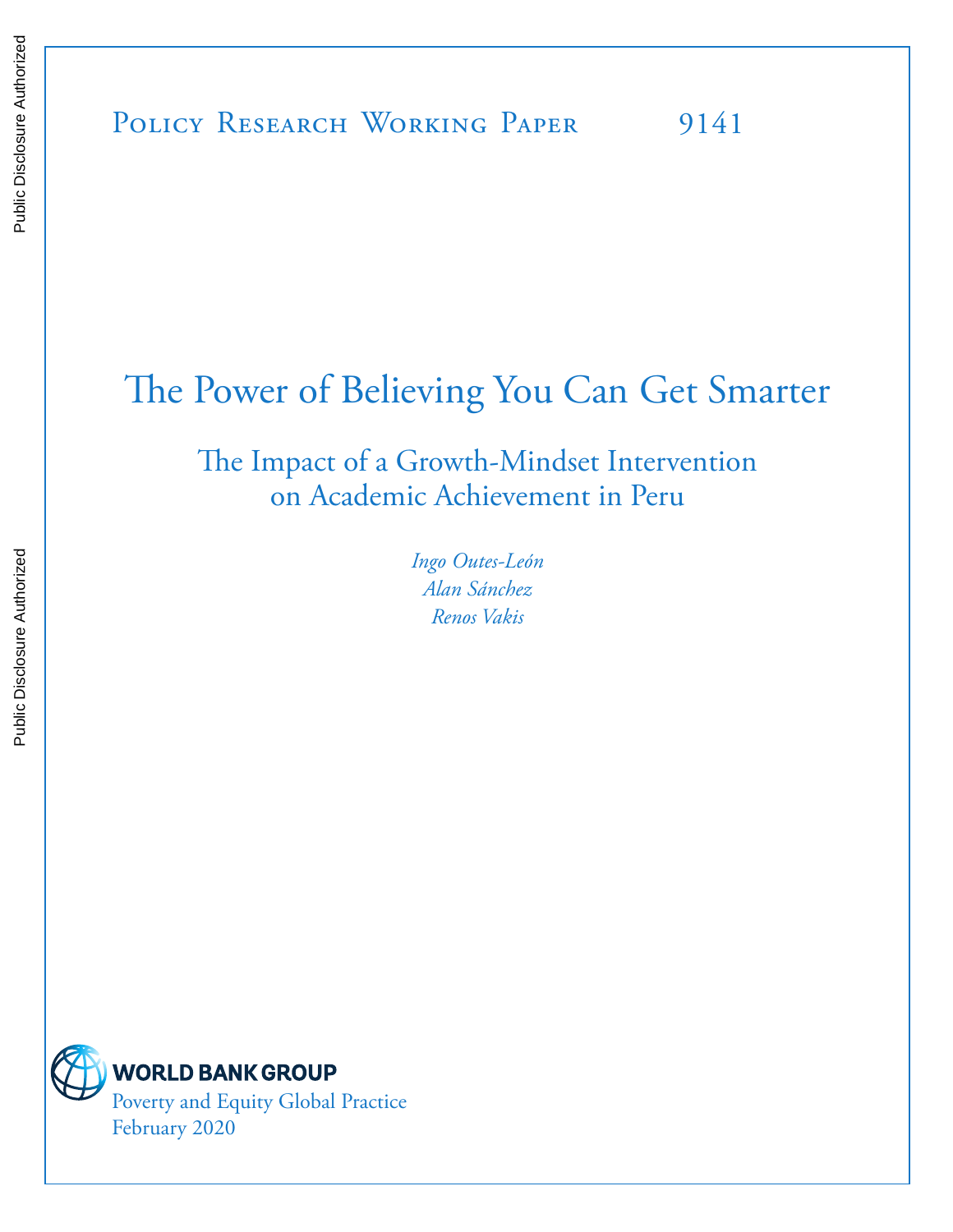# The Power of Believing You Can Get Smarter

The Impact of a Growth-Mindset Intervention on Academic Achievement in Peru

> *Ingo Outes-León Alan Sánchez Renos Vakis*



**WORLD BANK GROUP** Poverty and Equity Global Practice February 2020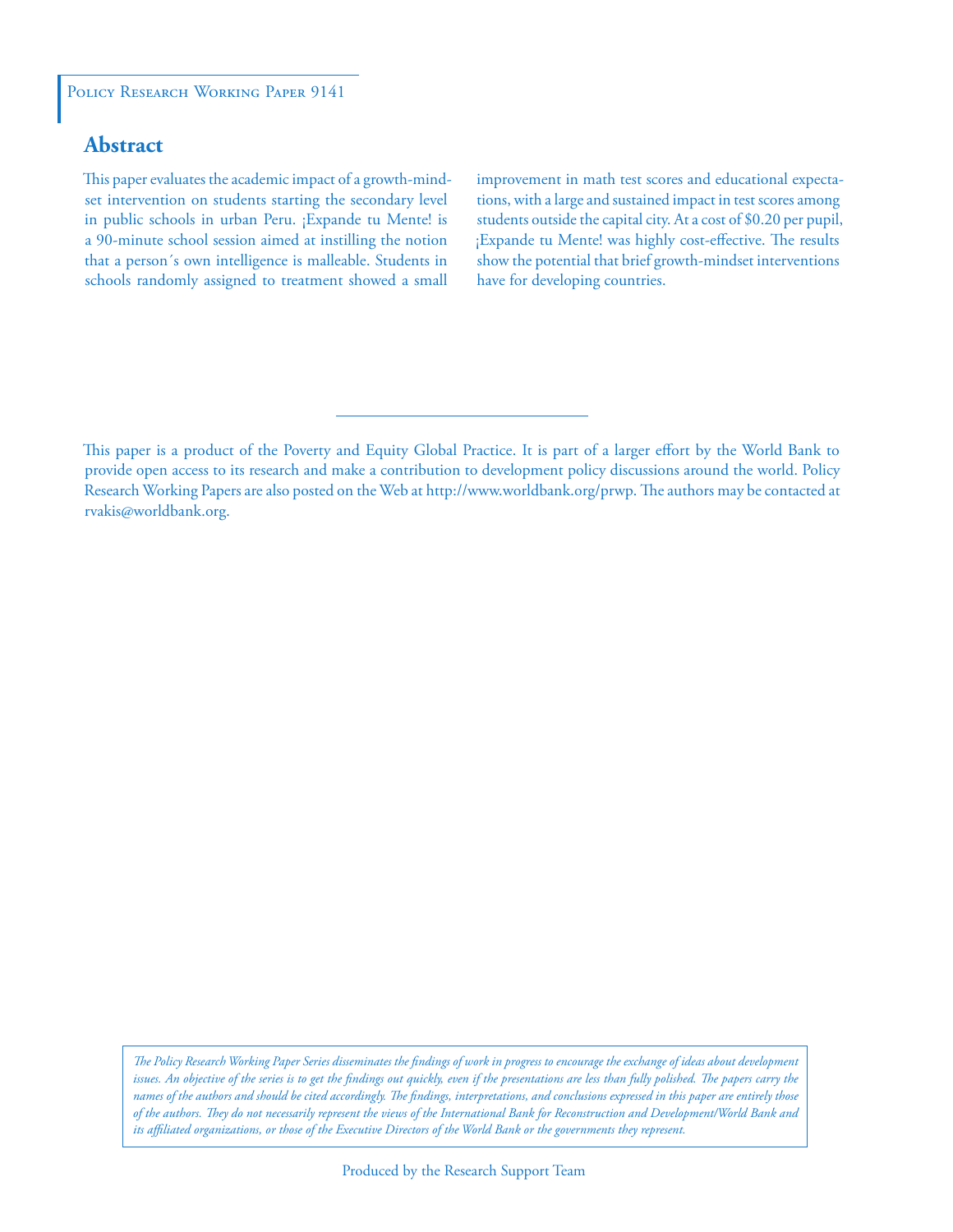#### POLICY RESEARCH WORKING PAPER 9141

# **Abstract**

This paper evaluates the academic impact of a growth-mindset intervention on students starting the secondary level in public schools in urban Peru. ¡Expande tu Mente! is a 90-minute school session aimed at instilling the notion that a person´s own intelligence is malleable. Students in schools randomly assigned to treatment showed a small

improvement in math test scores and educational expectations, with a large and sustained impact in test scores among students outside the capital city. At a cost of \$0.20 per pupil, ¡Expande tu Mente! was highly cost-effective. The results show the potential that brief growth-mindset interventions have for developing countries.

This paper is a product of the Poverty and Equity Global Practice. It is part of a larger effort by the World Bank to provide open access to its research and make a contribution to development policy discussions around the world. Policy Research Working Papers are also posted on the Web at http://www.worldbank.org/prwp. The authors may be contacted at rvakis@worldbank.org.

*The Policy Research Working Paper Series disseminates the findings of work in progress to encourage the exchange of ideas about development*  issues. An objective of the series is to get the findings out quickly, even if the presentations are less than fully polished. The papers carry the *names of the authors and should be cited accordingly. The findings, interpretations, and conclusions expressed in this paper are entirely those of the authors. They do not necessarily represent the views of the International Bank for Reconstruction and Development/World Bank and its affiliated organizations, or those of the Executive Directors of the World Bank or the governments they represent.*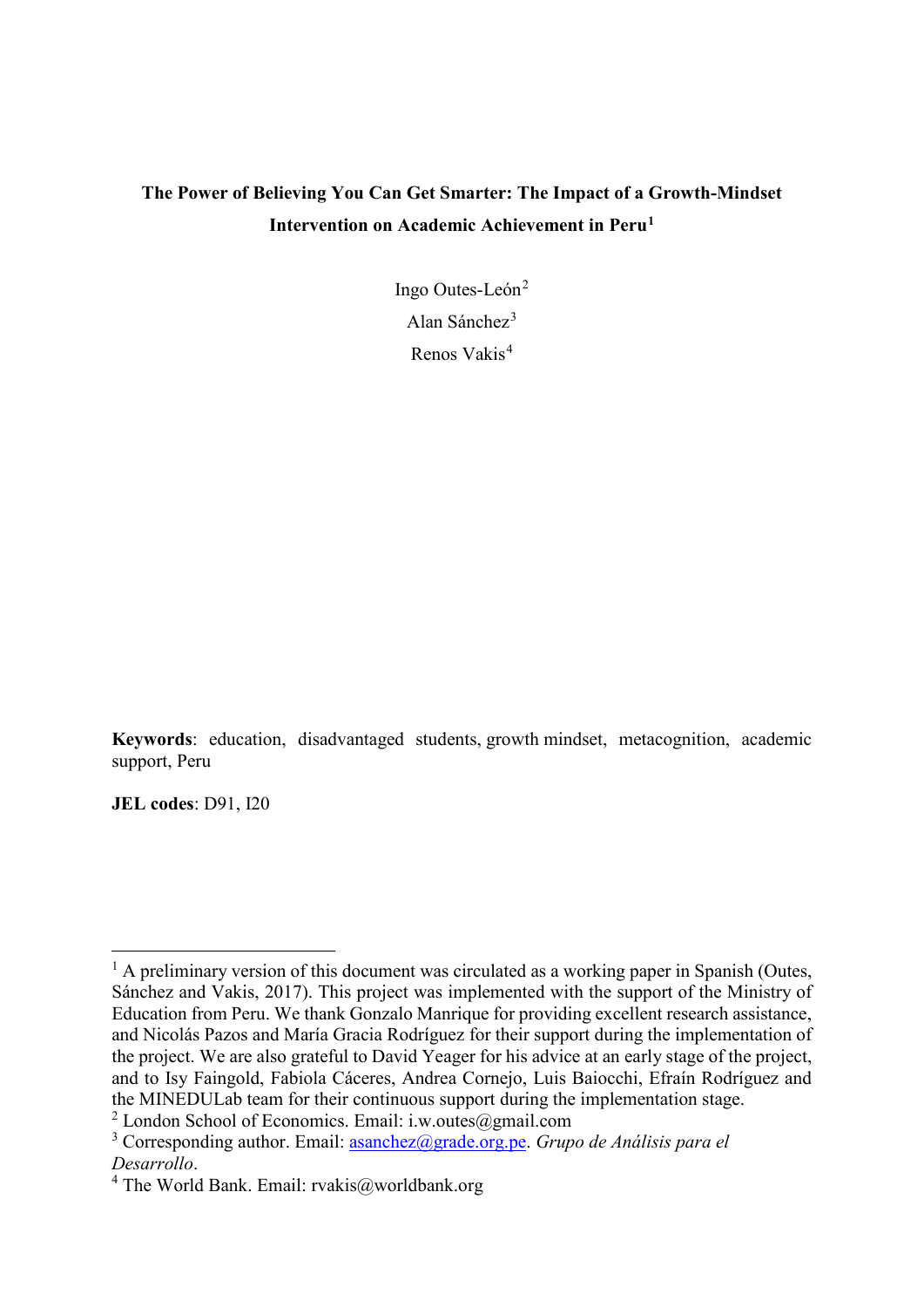# **The Power of Believing You Can Get Smarter: The Impact of a Growth-Mindset Intervention on Academic Achievement in Peru[1](#page-2-0)**

Ingo Outes-León<sup>[2](#page-2-1)</sup> Alan Sánchez[3](#page-2-2) Renos Vakis[4](#page-2-3)

**Keywords**: education, disadvantaged students, growth mindset, metacognition, academic support, Peru

**JEL codes**: D91, I20

<span id="page-2-0"></span> $<sup>1</sup>$  A preliminary version of this document was circulated as a working paper in Spanish (Outes,</sup> Sánchez and Vakis, 2017). This project was implemented with the support of the Ministry of Education from Peru. We thank Gonzalo Manrique for providing excellent research assistance, and Nicolás Pazos and María Gracia Rodríguez for their support during the implementation of the project. We are also grateful to David Yeager for his advice at an early stage of the project, and to Isy Faingold, Fabiola Cáceres, Andrea Cornejo, Luis Baiocchi, Efraín Rodríguez and the MINEDULab team for their continuous support during the implementation stage.

<span id="page-2-1"></span><sup>&</sup>lt;sup>2</sup> London School of Economics. Email: i.w.outes@gmail.com

<span id="page-2-2"></span><sup>3</sup> Corresponding author. Email: [asanchez@grade.org.pe.](mailto:asanchez@grade.org.pe) *Grupo de Análisis para el Desarrollo*. 4 The World Bank. Email: rvakis@worldbank.org

<span id="page-2-3"></span>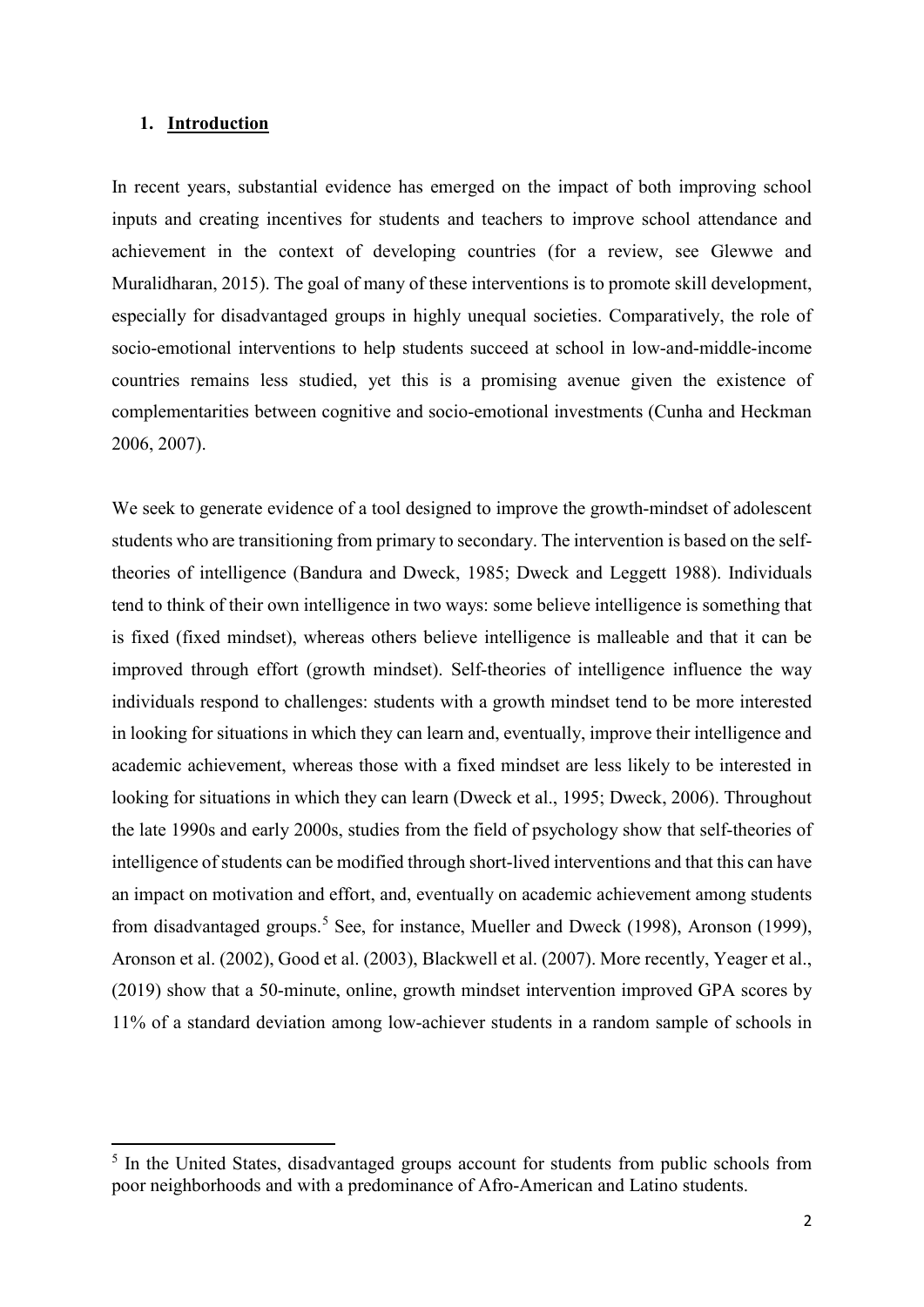#### **1. Introduction**

 $\overline{a}$ 

In recent years, substantial evidence has emerged on the impact of both improving school inputs and creating incentives for students and teachers to improve school attendance and achievement in the context of developing countries (for a review, see Glewwe and Muralidharan, 2015). The goal of many of these interventions is to promote skill development, especially for disadvantaged groups in highly unequal societies. Comparatively, the role of socio-emotional interventions to help students succeed at school in low-and-middle-income countries remains less studied, yet this is a promising avenue given the existence of complementarities between cognitive and socio-emotional investments (Cunha and Heckman 2006, 2007).

We seek to generate evidence of a tool designed to improve the growth-mindset of adolescent students who are transitioning from primary to secondary. The intervention is based on the selftheories of intelligence (Bandura and Dweck, 1985; Dweck and Leggett 1988). Individuals tend to think of their own intelligence in two ways: some believe intelligence is something that is fixed (fixed mindset), whereas others believe intelligence is malleable and that it can be improved through effort (growth mindset). Self-theories of intelligence influence the way individuals respond to challenges: students with a growth mindset tend to be more interested in looking for situations in which they can learn and, eventually, improve their intelligence and academic achievement, whereas those with a fixed mindset are less likely to be interested in looking for situations in which they can learn (Dweck et al., 1995; Dweck, 2006). Throughout the late 1990s and early 2000s, studies from the field of psychology show that self-theories of intelligence of students can be modified through short-lived interventions and that this can have an impact on motivation and effort, and, eventually on academic achievement among students from disadvantaged groups.<sup>[5](#page-3-0)</sup> See, for instance, Mueller and Dweck (1998), Aronson (1999), Aronson et al. (2002), Good et al. (2003), Blackwell et al. (2007). More recently, Yeager et al., (2019) show that a 50-minute, online, growth mindset intervention improved GPA scores by 11% of a standard deviation among low-achiever students in a random sample of schools in

<span id="page-3-0"></span><sup>&</sup>lt;sup>5</sup> In the United States, disadvantaged groups account for students from public schools from poor neighborhoods and with a predominance of Afro-American and Latino students.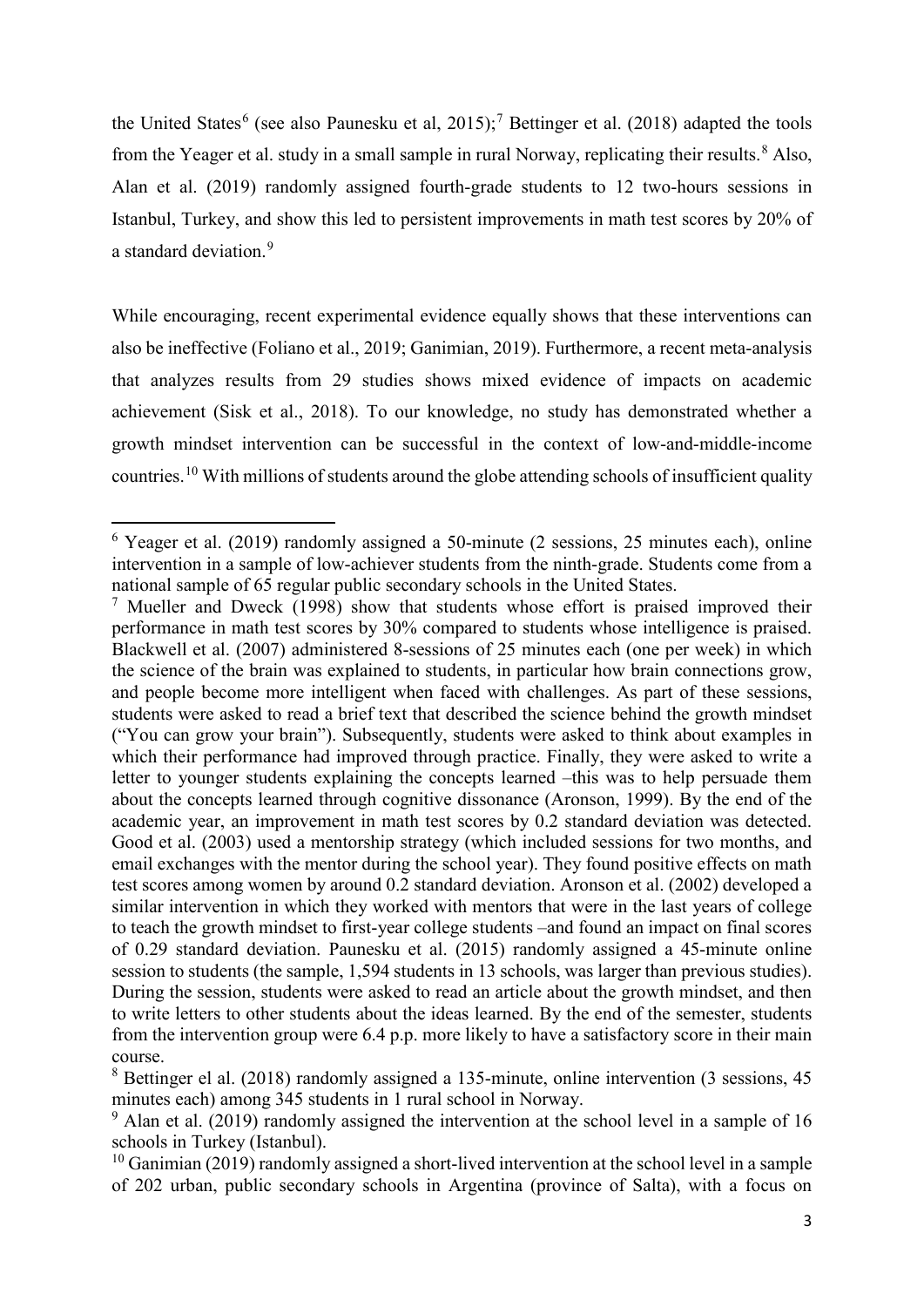the United States<sup>[6](#page-4-0)</sup> (see also Paunesku et al, 2015);<sup>[7](#page-4-1)</sup> Bettinger et al. (2018) adapted the tools from the Yeager et al. study in a small sample in rural Norway, replicating their results.<sup>[8](#page-4-2)</sup> Also, Alan et al. (2019) randomly assigned fourth-grade students to 12 two-hours sessions in Istanbul, Turkey, and show this led to persistent improvements in math test scores by 20% of a standard deviation.<sup>[9](#page-4-3)</sup>

While encouraging, recent experimental evidence equally shows that these interventions can also be ineffective (Foliano et al., 2019; Ganimian, 2019). Furthermore, a recent meta-analysis that analyzes results from 29 studies shows mixed evidence of impacts on academic achievement (Sisk et al., 2018). To our knowledge, no study has demonstrated whether a growth mindset intervention can be successful in the context of low-and-middle-income countries.<sup>[10](#page-4-4)</sup> With millions of students around the globe attending schools of insufficient quality

**.** 

<span id="page-4-0"></span><sup>6</sup> Yeager et al. (2019) randomly assigned a 50-minute (2 sessions, 25 minutes each), online intervention in a sample of low-achiever students from the ninth-grade. Students come from a national sample of 65 regular public secondary schools in the United States.

<span id="page-4-1"></span><sup>&</sup>lt;sup>7</sup> Mueller and Dweck (1998) show that students whose effort is praised improved their performance in math test scores by 30% compared to students whose intelligence is praised. Blackwell et al. (2007) administered 8-sessions of 25 minutes each (one per week) in which the science of the brain was explained to students, in particular how brain connections grow, and people become more intelligent when faced with challenges. As part of these sessions, students were asked to read a brief text that described the science behind the growth mindset ("You can grow your brain"). Subsequently, students were asked to think about examples in which their performance had improved through practice. Finally, they were asked to write a letter to younger students explaining the concepts learned –this was to help persuade them about the concepts learned through cognitive dissonance (Aronson, 1999). By the end of the academic year, an improvement in math test scores by 0.2 standard deviation was detected. Good et al. (2003) used a mentorship strategy (which included sessions for two months, and email exchanges with the mentor during the school year). They found positive effects on math test scores among women by around 0.2 standard deviation. Aronson et al. (2002) developed a similar intervention in which they worked with mentors that were in the last years of college to teach the growth mindset to first-year college students –and found an impact on final scores of 0.29 standard deviation. Paunesku et al. (2015) randomly assigned a 45-minute online session to students (the sample, 1,594 students in 13 schools, was larger than previous studies). During the session, students were asked to read an article about the growth mindset, and then to write letters to other students about the ideas learned. By the end of the semester, students from the intervention group were 6.4 p.p. more likely to have a satisfactory score in their main course.

<span id="page-4-2"></span><sup>8</sup> Bettinger el al. (2018) randomly assigned a 135-minute, online intervention (3 sessions, 45 minutes each) among 345 students in 1 rural school in Norway.

<span id="page-4-3"></span> $9$  Alan et al. (2019) randomly assigned the intervention at the school level in a sample of 16 schools in Turkey (Istanbul).

<span id="page-4-4"></span> $10$  Ganimian (2019) randomly assigned a short-lived intervention at the school level in a sample of 202 urban, public secondary schools in Argentina (province of Salta), with a focus on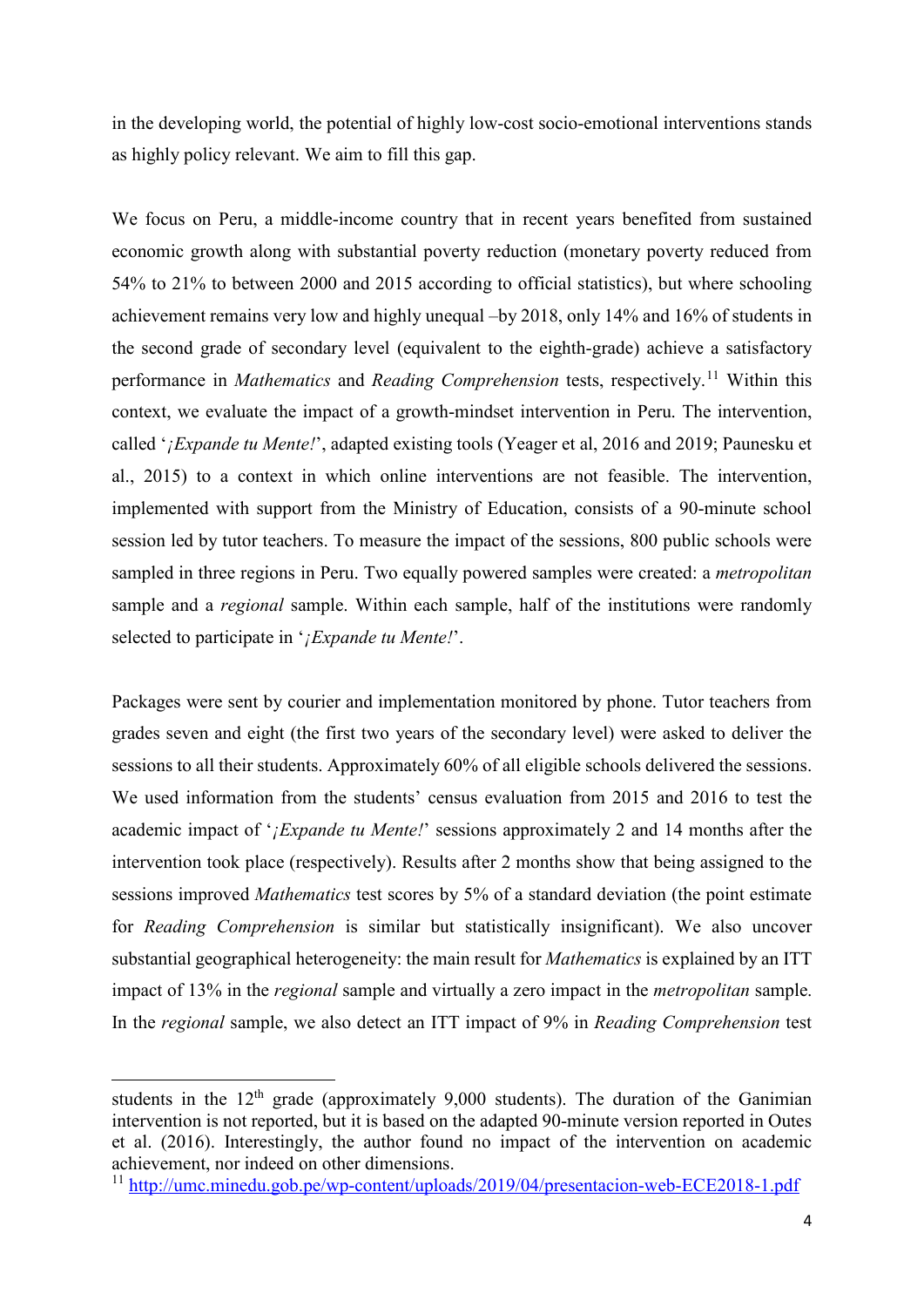in the developing world, the potential of highly low-cost socio-emotional interventions stands as highly policy relevant. We aim to fill this gap.

We focus on Peru, a middle-income country that in recent years benefited from sustained economic growth along with substantial poverty reduction (monetary poverty reduced from 54% to 21% to between 2000 and 2015 according to official statistics), but where schooling achievement remains very low and highly unequal –by 2018, only 14% and 16% of students in the second grade of secondary level (equivalent to the eighth-grade) achieve a satisfactory performance in *Mathematics* and *Reading Comprehension* tests, respectively. [11](#page-5-0) Within this context, we evaluate the impact of a growth-mindset intervention in Peru. The intervention, called '*¡Expande tu Mente!*', adapted existing tools (Yeager et al, 2016 and 2019; Paunesku et al., 2015) to a context in which online interventions are not feasible. The intervention, implemented with support from the Ministry of Education, consists of a 90-minute school session led by tutor teachers. To measure the impact of the sessions, 800 public schools were sampled in three regions in Peru. Two equally powered samples were created: a *metropolitan* sample and a *regional* sample. Within each sample, half of the institutions were randomly selected to participate in '*¡Expande tu Mente!*'.

Packages were sent by courier and implementation monitored by phone. Tutor teachers from grades seven and eight (the first two years of the secondary level) were asked to deliver the sessions to all their students. Approximately 60% of all eligible schools delivered the sessions. We used information from the students' census evaluation from 2015 and 2016 to test the academic impact of '*¡Expande tu Mente!*' sessions approximately 2 and 14 months after the intervention took place (respectively). Results after 2 months show that being assigned to the sessions improved *Mathematics* test scores by 5% of a standard deviation (the point estimate for *Reading Comprehension* is similar but statistically insignificant). We also uncover substantial geographical heterogeneity: the main result for *Mathematics* is explained by an ITT impact of 13% in the *regional* sample and virtually a zero impact in the *metropolitan* sample. In the *regional* sample, we also detect an ITT impact of 9% in *Reading Comprehension* test

**.** 

students in the  $12<sup>th</sup>$  grade (approximately 9,000 students). The duration of the Ganimian intervention is not reported, but it is based on the adapted 90-minute version reported in Outes et al. (2016). Interestingly, the author found no impact of the intervention on academic achievement, nor indeed on other dimensions.

<span id="page-5-0"></span><sup>11</sup> <http://umc.minedu.gob.pe/wp-content/uploads/2019/04/presentacion-web-ECE2018-1.pdf>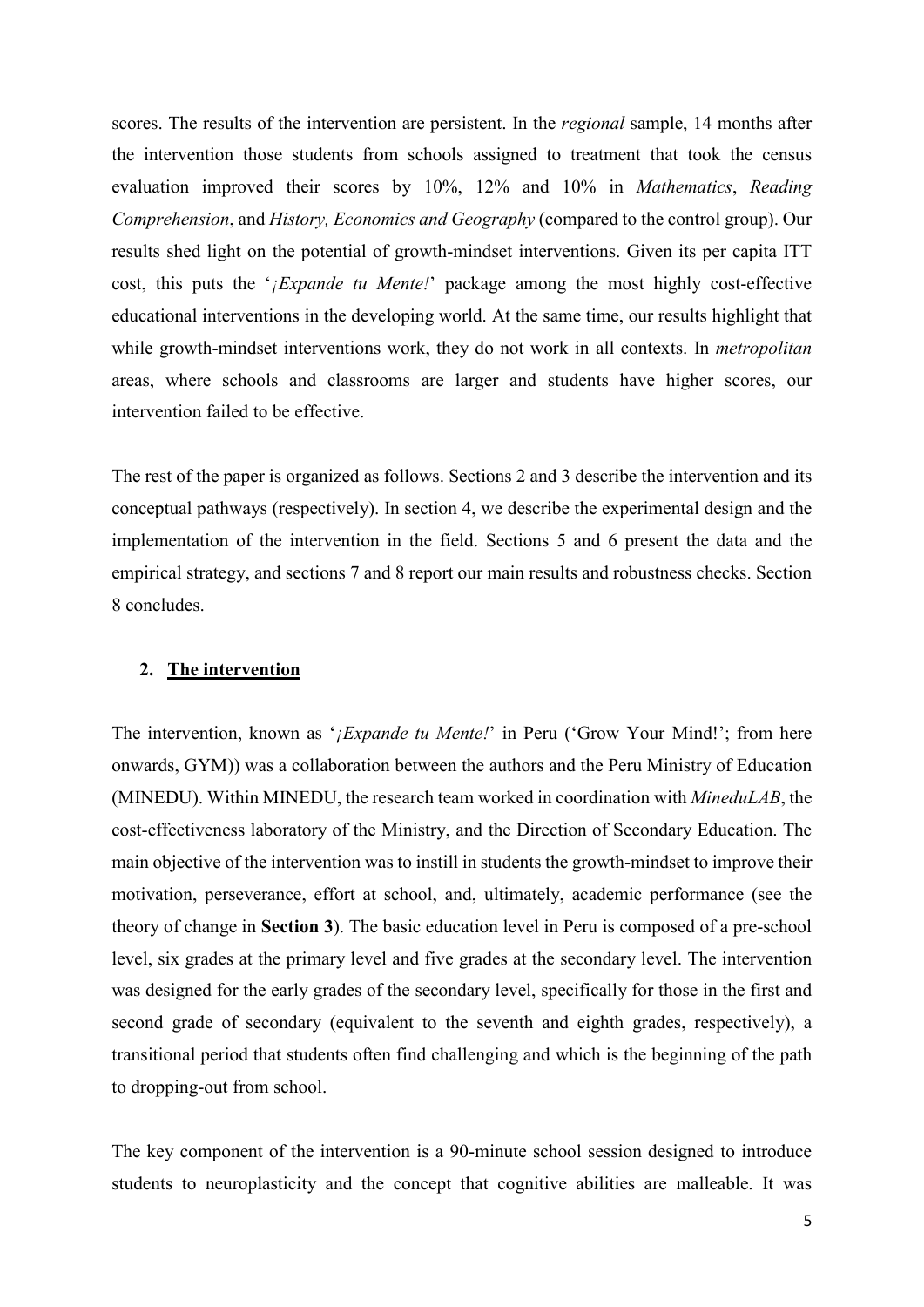scores. The results of the intervention are persistent. In the *regional* sample, 14 months after the intervention those students from schools assigned to treatment that took the census evaluation improved their scores by 10%, 12% and 10% in *Mathematics*, *Reading Comprehension*, and *History, Economics and Geography* (compared to the control group). Our results shed light on the potential of growth-mindset interventions. Given its per capita ITT cost, this puts the '*¡Expande tu Mente!*' package among the most highly cost-effective educational interventions in the developing world. At the same time, our results highlight that while growth-mindset interventions work, they do not work in all contexts. In *metropolitan* areas, where schools and classrooms are larger and students have higher scores, our intervention failed to be effective.

The rest of the paper is organized as follows. Sections 2 and 3 describe the intervention and its conceptual pathways (respectively). In section 4, we describe the experimental design and the implementation of the intervention in the field. Sections 5 and 6 present the data and the empirical strategy, and sections 7 and 8 report our main results and robustness checks. Section 8 concludes.

#### **2. The intervention**

The intervention, known as '*¡Expande tu Mente!*' in Peru ('Grow Your Mind!'; from here onwards, GYM)) was a collaboration between the authors and the Peru Ministry of Education (MINEDU). Within MINEDU, the research team worked in coordination with *MineduLAB*, the cost-effectiveness laboratory of the Ministry, and the Direction of Secondary Education. The main objective of the intervention was to instill in students the growth-mindset to improve their motivation, perseverance, effort at school, and, ultimately, academic performance (see the theory of change in **Section 3**). The basic education level in Peru is composed of a pre-school level, six grades at the primary level and five grades at the secondary level. The intervention was designed for the early grades of the secondary level, specifically for those in the first and second grade of secondary (equivalent to the seventh and eighth grades, respectively), a transitional period that students often find challenging and which is the beginning of the path to dropping-out from school.

The key component of the intervention is a 90-minute school session designed to introduce students to neuroplasticity and the concept that cognitive abilities are malleable. It was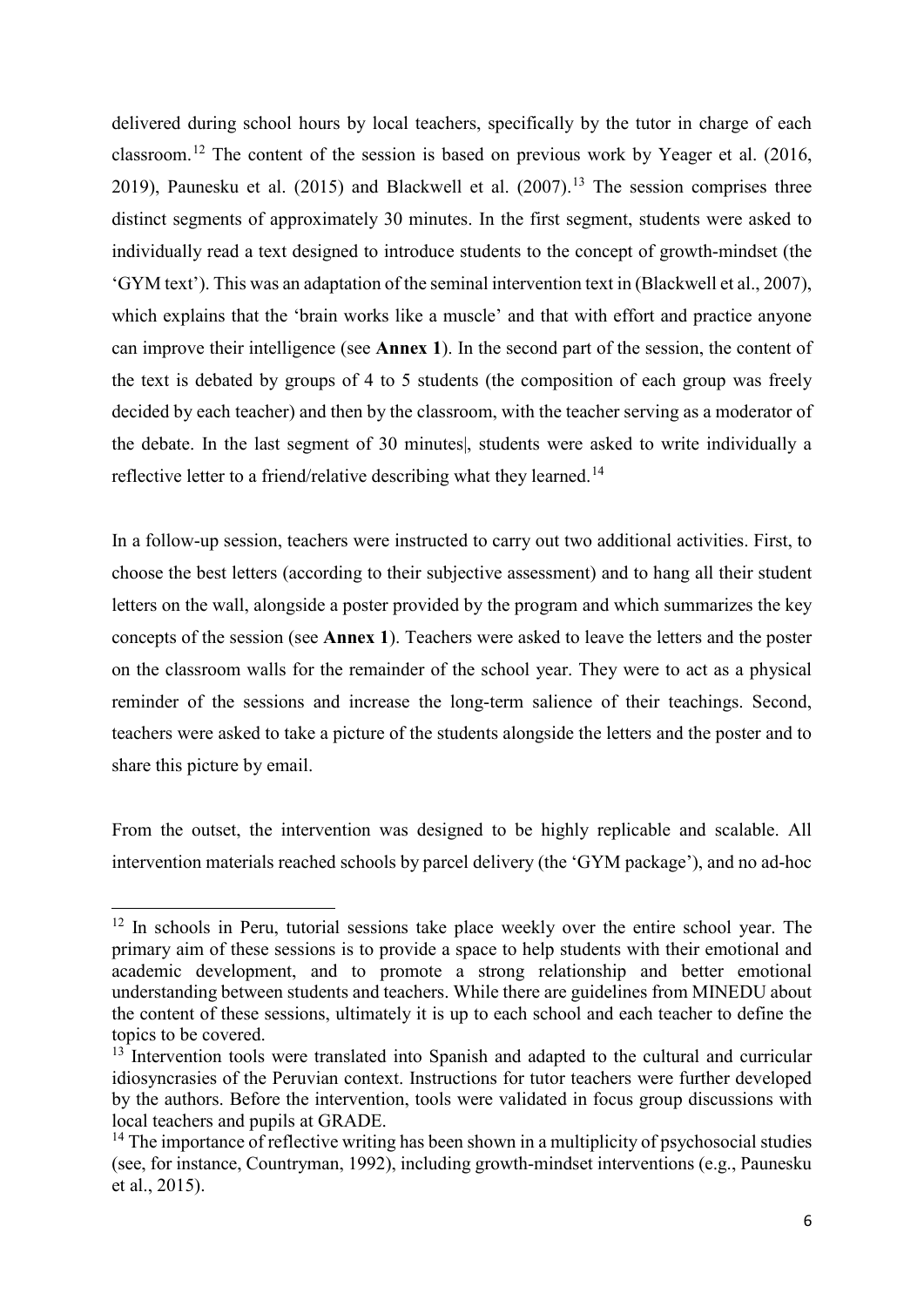delivered during school hours by local teachers, specifically by the tutor in charge of each classroom.[12](#page-7-0) The content of the session is based on previous work by Yeager et al. (2016, 2019), Paunesku et al. (2015) and Blackwell et al. (2007).<sup>[13](#page-7-1)</sup> The session comprises three distinct segments of approximately 30 minutes. In the first segment, students were asked to individually read a text designed to introduce students to the concept of growth-mindset (the 'GYM text'). This was an adaptation of the seminal intervention text in (Blackwell et al., 2007), which explains that the 'brain works like a muscle' and that with effort and practice anyone can improve their intelligence (see **Annex 1**). In the second part of the session, the content of the text is debated by groups of 4 to 5 students (the composition of each group was freely decided by each teacher) and then by the classroom, with the teacher serving as a moderator of the debate. In the last segment of 30 minutes|, students were asked to write individually a reflective letter to a friend/relative describing what they learned.<sup>[14](#page-7-2)</sup>

In a follow-up session, teachers were instructed to carry out two additional activities. First, to choose the best letters (according to their subjective assessment) and to hang all their student letters on the wall, alongside a poster provided by the program and which summarizes the key concepts of the session (see **Annex 1**). Teachers were asked to leave the letters and the poster on the classroom walls for the remainder of the school year. They were to act as a physical reminder of the sessions and increase the long-term salience of their teachings. Second, teachers were asked to take a picture of the students alongside the letters and the poster and to share this picture by email.

From the outset, the intervention was designed to be highly replicable and scalable. All intervention materials reached schools by parcel delivery (the 'GYM package'), and no ad-hoc

 $\overline{a}$ 

<span id="page-7-0"></span><sup>&</sup>lt;sup>12</sup> In schools in Peru, tutorial sessions take place weekly over the entire school year. The primary aim of these sessions is to provide a space to help students with their emotional and academic development, and to promote a strong relationship and better emotional understanding between students and teachers. While there are guidelines from MINEDU about the content of these sessions, ultimately it is up to each school and each teacher to define the topics to be covered.

<span id="page-7-1"></span><sup>&</sup>lt;sup>13</sup> Intervention tools were translated into Spanish and adapted to the cultural and curricular idiosyncrasies of the Peruvian context. Instructions for tutor teachers were further developed by the authors. Before the intervention, tools were validated in focus group discussions with local teachers and pupils at GRADE.

<span id="page-7-2"></span> $14$  The importance of reflective writing has been shown in a multiplicity of psychosocial studies (see, for instance, Countryman, 1992), including growth-mindset interventions (e.g., Paunesku et al., 2015).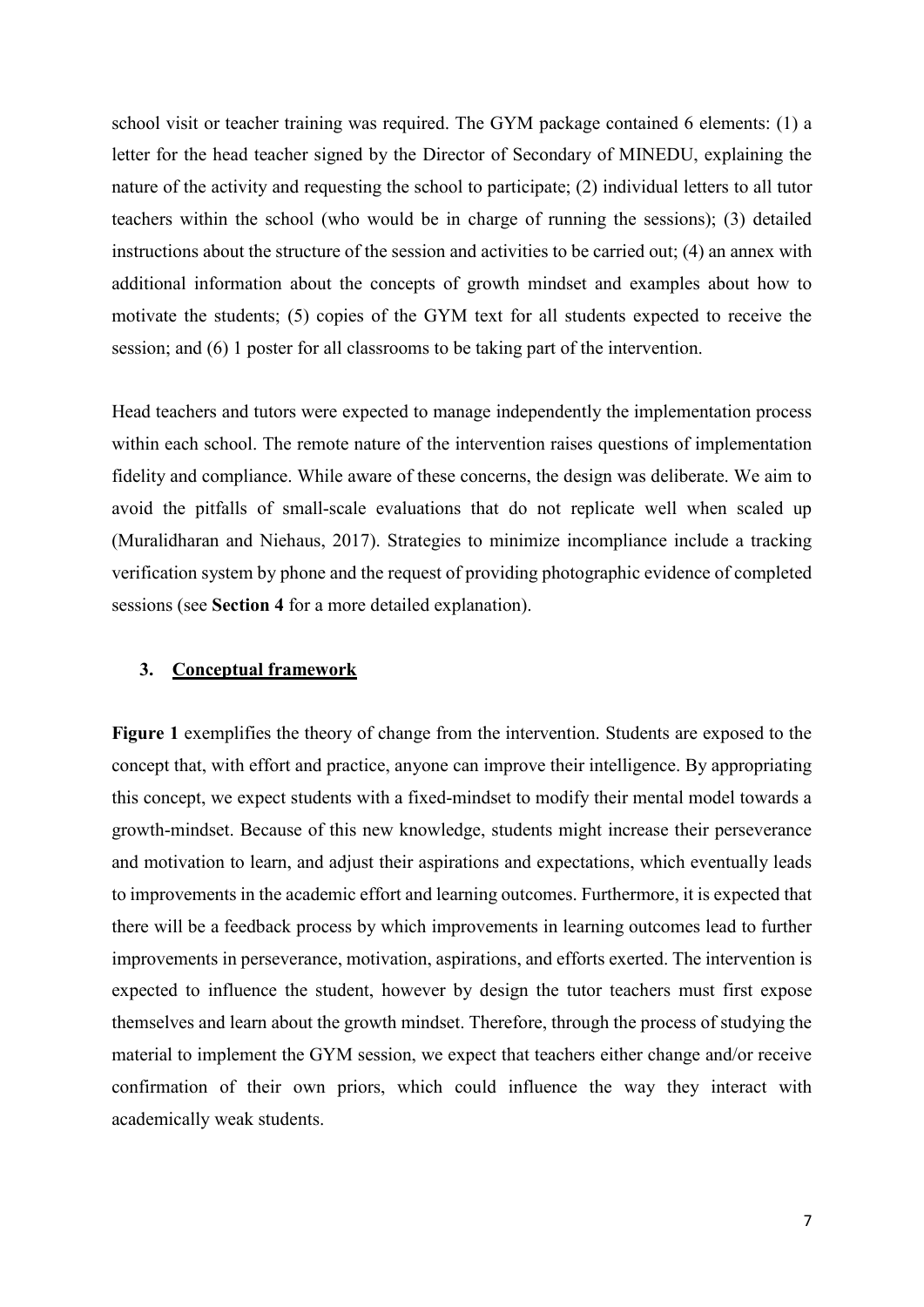school visit or teacher training was required. The GYM package contained 6 elements: (1) a letter for the head teacher signed by the Director of Secondary of MINEDU, explaining the nature of the activity and requesting the school to participate; (2) individual letters to all tutor teachers within the school (who would be in charge of running the sessions); (3) detailed instructions about the structure of the session and activities to be carried out; (4) an annex with additional information about the concepts of growth mindset and examples about how to motivate the students; (5) copies of the GYM text for all students expected to receive the session; and (6) 1 poster for all classrooms to be taking part of the intervention.

Head teachers and tutors were expected to manage independently the implementation process within each school. The remote nature of the intervention raises questions of implementation fidelity and compliance. While aware of these concerns, the design was deliberate. We aim to avoid the pitfalls of small-scale evaluations that do not replicate well when scaled up (Muralidharan and Niehaus, 2017). Strategies to minimize incompliance include a tracking verification system by phone and the request of providing photographic evidence of completed sessions (see **Section 4** for a more detailed explanation).

# **3. Conceptual framework**

**Figure 1** exemplifies the theory of change from the intervention. Students are exposed to the concept that, with effort and practice, anyone can improve their intelligence. By appropriating this concept, we expect students with a fixed-mindset to modify their mental model towards a growth-mindset. Because of this new knowledge, students might increase their perseverance and motivation to learn, and adjust their aspirations and expectations, which eventually leads to improvements in the academic effort and learning outcomes. Furthermore, it is expected that there will be a feedback process by which improvements in learning outcomes lead to further improvements in perseverance, motivation, aspirations, and efforts exerted. The intervention is expected to influence the student, however by design the tutor teachers must first expose themselves and learn about the growth mindset. Therefore, through the process of studying the material to implement the GYM session, we expect that teachers either change and/or receive confirmation of their own priors, which could influence the way they interact with academically weak students.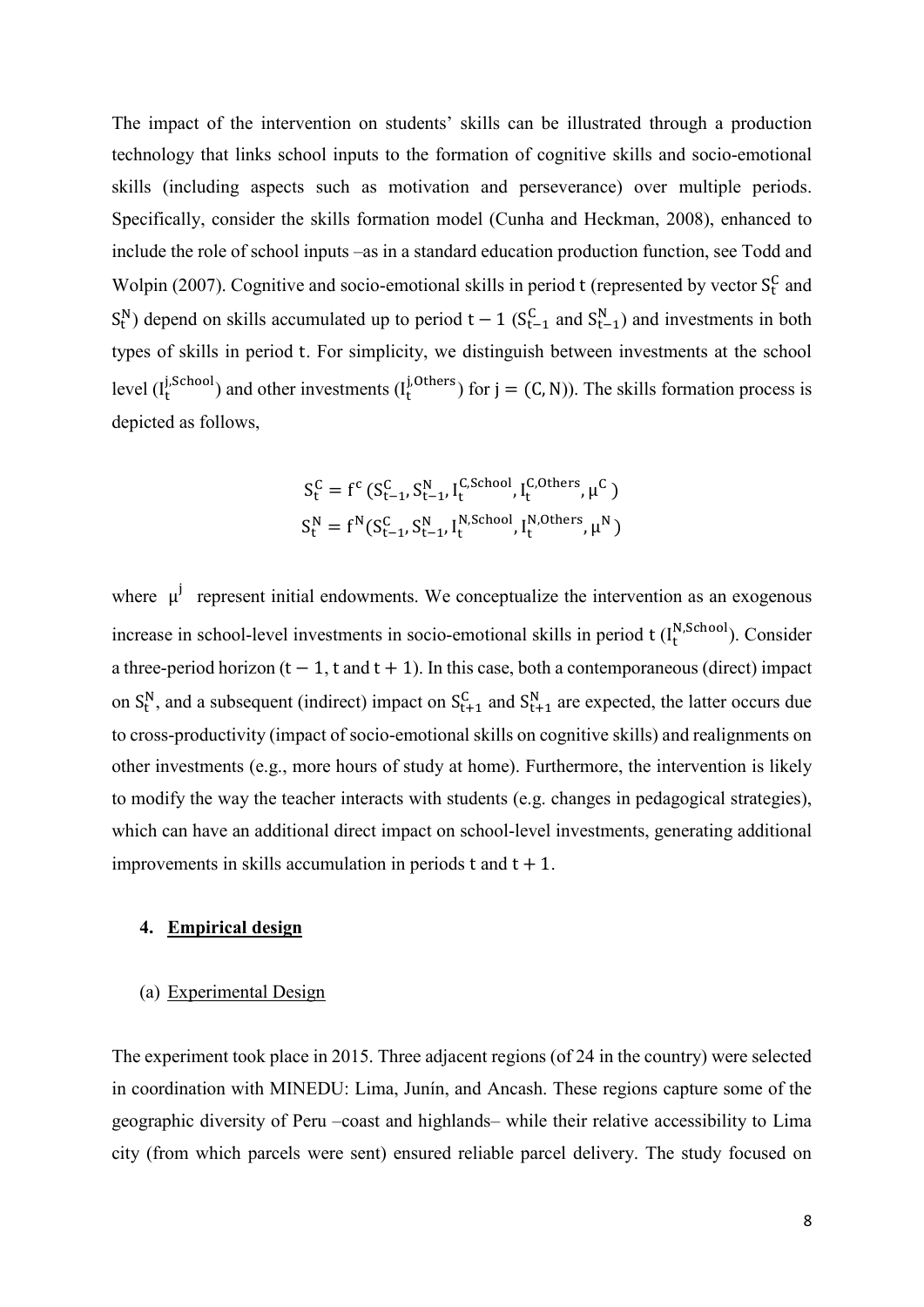The impact of the intervention on students' skills can be illustrated through a production technology that links school inputs to the formation of cognitive skills and socio-emotional skills (including aspects such as motivation and perseverance) over multiple periods. Specifically, consider the skills formation model (Cunha and Heckman, 2008), enhanced to include the role of school inputs –as in a standard education production function, see Todd and Wolpin (2007). Cognitive and socio-emotional skills in period t (represented by vector  $S_t^C$  and  $S_t^N$ ) depend on skills accumulated up to period  $t - 1$  ( $S_{t-1}^C$  and  $S_{t-1}^N$ ) and investments in both types of skills in period t. For simplicity, we distinguish between investments at the school level  $(I_t^{J, School} )$  and other investments  $(I_t^{J, Others})$  for  $j = (C, N)$ ). The skills formation process is depicted as follows,

$$
S_t^C = f^c \left( S_{t-1}^C, S_{t-1}^N, I_t^{C, School}, I_t^{C, Others}, \mu^C \right)
$$
  

$$
S_t^N = f^N(S_{t-1}^C, S_{t-1}^N, I_t^{N, School}, I_t^{N, Others}, \mu^N)
$$

where  $\mu^{j}$  represent initial endowments. We conceptualize the intervention as an exogenous increase in school-level investments in socio-emotional skills in period  $t$  ( $I_t^{N, School}$ ). Consider a three-period horizon  $(t - 1, t \text{ and } t + 1)$ . In this case, both a contemporaneous (direct) impact on  $S_t^N$ , and a subsequent (indirect) impact on  $S_{t+1}^C$  and  $S_{t+1}^N$  are expected, the latter occurs due to cross-productivity (impact of socio-emotional skills on cognitive skills) and realignments on other investments (e.g., more hours of study at home). Furthermore, the intervention is likely to modify the way the teacher interacts with students (e.g. changes in pedagogical strategies), which can have an additional direct impact on school-level investments, generating additional improvements in skills accumulation in periods  $t$  and  $t + 1$ .

#### **4. Empirical design**

#### (a) Experimental Design

The experiment took place in 2015. Three adjacent regions (of 24 in the country) were selected in coordination with MINEDU: Lima, Junín, and Ancash. These regions capture some of the geographic diversity of Peru –coast and highlands– while their relative accessibility to Lima city (from which parcels were sent) ensured reliable parcel delivery. The study focused on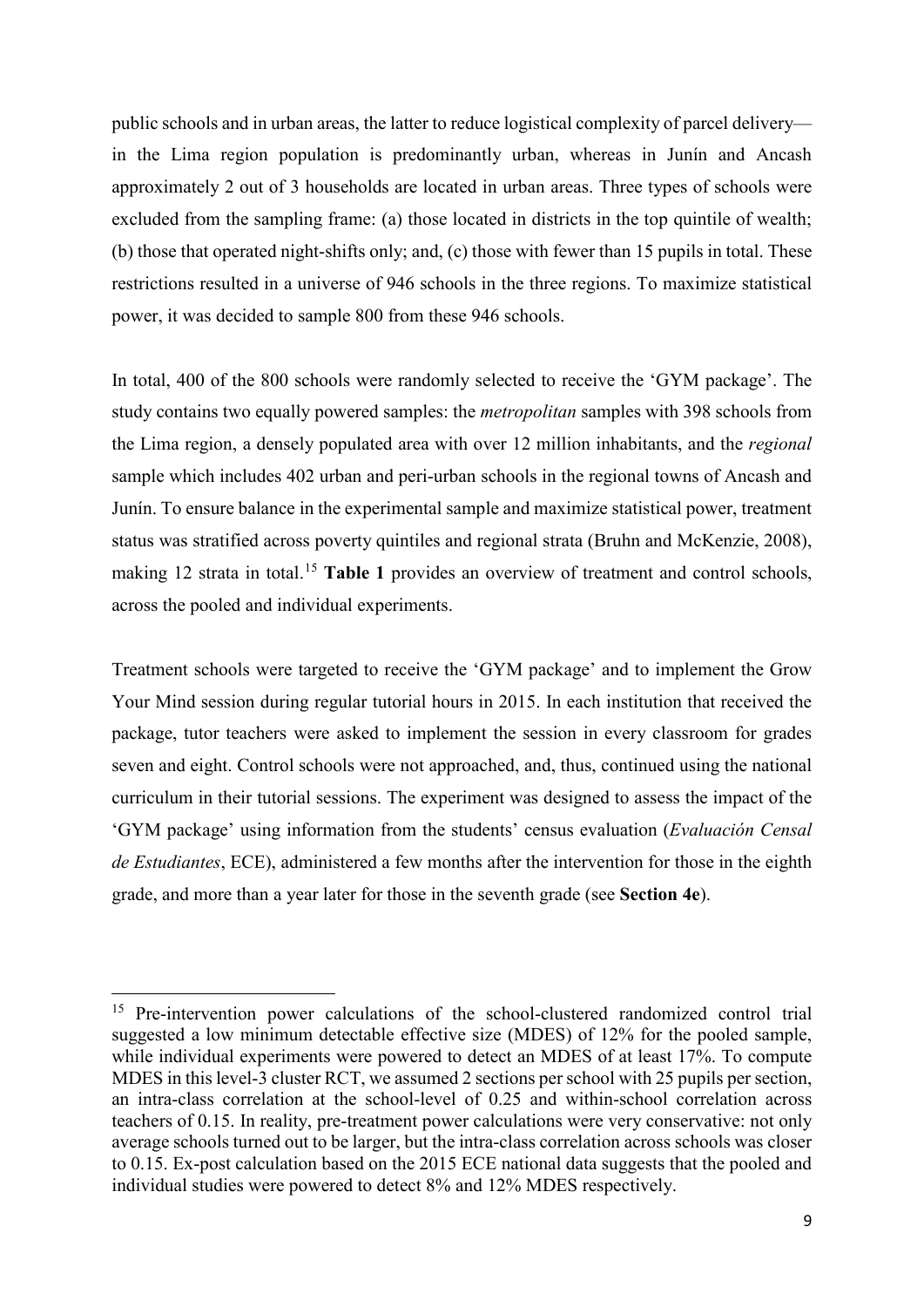public schools and in urban areas, the latter to reduce logistical complexity of parcel delivery in the Lima region population is predominantly urban, whereas in Junín and Ancash approximately 2 out of 3 households are located in urban areas. Three types of schools were excluded from the sampling frame: (a) those located in districts in the top quintile of wealth; (b) those that operated night-shifts only; and, (c) those with fewer than 15 pupils in total. These restrictions resulted in a universe of 946 schools in the three regions. To maximize statistical power, it was decided to sample 800 from these 946 schools.

In total, 400 of the 800 schools were randomly selected to receive the 'GYM package'. The study contains two equally powered samples: the *metropolitan* samples with 398 schools from the Lima region, a densely populated area with over 12 million inhabitants, and the *regional* sample which includes 402 urban and peri-urban schools in the regional towns of Ancash and Junín. To ensure balance in the experimental sample and maximize statistical power, treatment status was stratified across poverty quintiles and regional strata (Bruhn and McKenzie, 2008), making 12 strata in total.<sup>[15](#page-10-0)</sup> Table 1 provides an overview of treatment and control schools, across the pooled and individual experiments.

Treatment schools were targeted to receive the 'GYM package' and to implement the Grow Your Mind session during regular tutorial hours in 2015. In each institution that received the package, tutor teachers were asked to implement the session in every classroom for grades seven and eight. Control schools were not approached, and, thus, continued using the national curriculum in their tutorial sessions. The experiment was designed to assess the impact of the 'GYM package' using information from the students' census evaluation (*Evaluación Censal de Estudiantes*, ECE), administered a few months after the intervention for those in the eighth grade, and more than a year later for those in the seventh grade (see **Section 4e**).

**.** 

<span id="page-10-0"></span><sup>&</sup>lt;sup>15</sup> Pre-intervention power calculations of the school-clustered randomized control trial suggested a low minimum detectable effective size (MDES) of 12% for the pooled sample, while individual experiments were powered to detect an MDES of at least 17%. To compute MDES in this level-3 cluster RCT, we assumed 2 sections per school with 25 pupils per section, an intra-class correlation at the school-level of 0.25 and within-school correlation across teachers of 0.15. In reality, pre-treatment power calculations were very conservative: not only average schools turned out to be larger, but the intra-class correlation across schools was closer to 0.15. Ex-post calculation based on the 2015 ECE national data suggests that the pooled and individual studies were powered to detect 8% and 12% MDES respectively.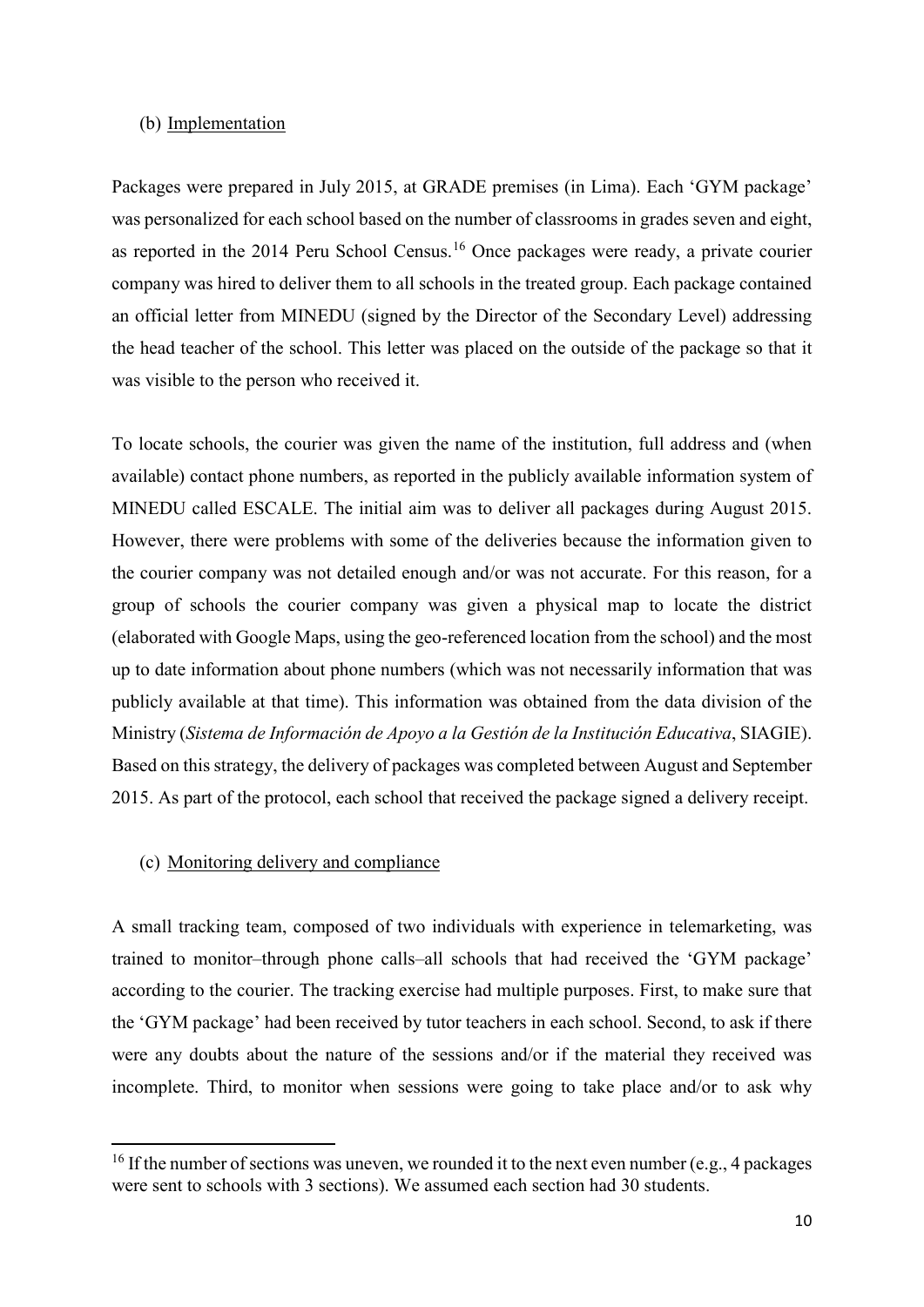#### (b) Implementation

Packages were prepared in July 2015, at GRADE premises (in Lima). Each 'GYM package' was personalized for each school based on the number of classrooms in grades seven and eight, as reported in the 2014 Peru School Census.[16](#page-11-0) Once packages were ready, a private courier company was hired to deliver them to all schools in the treated group. Each package contained an official letter from MINEDU (signed by the Director of the Secondary Level) addressing the head teacher of the school. This letter was placed on the outside of the package so that it was visible to the person who received it.

To locate schools, the courier was given the name of the institution, full address and (when available) contact phone numbers, as reported in the publicly available information system of MINEDU called ESCALE. The initial aim was to deliver all packages during August 2015. However, there were problems with some of the deliveries because the information given to the courier company was not detailed enough and/or was not accurate. For this reason, for a group of schools the courier company was given a physical map to locate the district (elaborated with Google Maps, using the geo-referenced location from the school) and the most up to date information about phone numbers (which was not necessarily information that was publicly available at that time). This information was obtained from the data division of the Ministry (*Sistema de Información de Apoyo a la Gestión de la Institución Educativa*, SIAGIE). Based on this strategy, the delivery of packages was completed between August and September 2015. As part of the protocol, each school that received the package signed a delivery receipt.

#### (c) Monitoring delivery and compliance

 $\overline{a}$ 

A small tracking team, composed of two individuals with experience in telemarketing, was trained to monitor–through phone calls–all schools that had received the 'GYM package' according to the courier. The tracking exercise had multiple purposes. First, to make sure that the 'GYM package' had been received by tutor teachers in each school. Second, to ask if there were any doubts about the nature of the sessions and/or if the material they received was incomplete. Third, to monitor when sessions were going to take place and/or to ask why

<span id="page-11-0"></span><sup>&</sup>lt;sup>16</sup> If the number of sections was uneven, we rounded it to the next even number (e.g., 4 packages were sent to schools with 3 sections). We assumed each section had 30 students.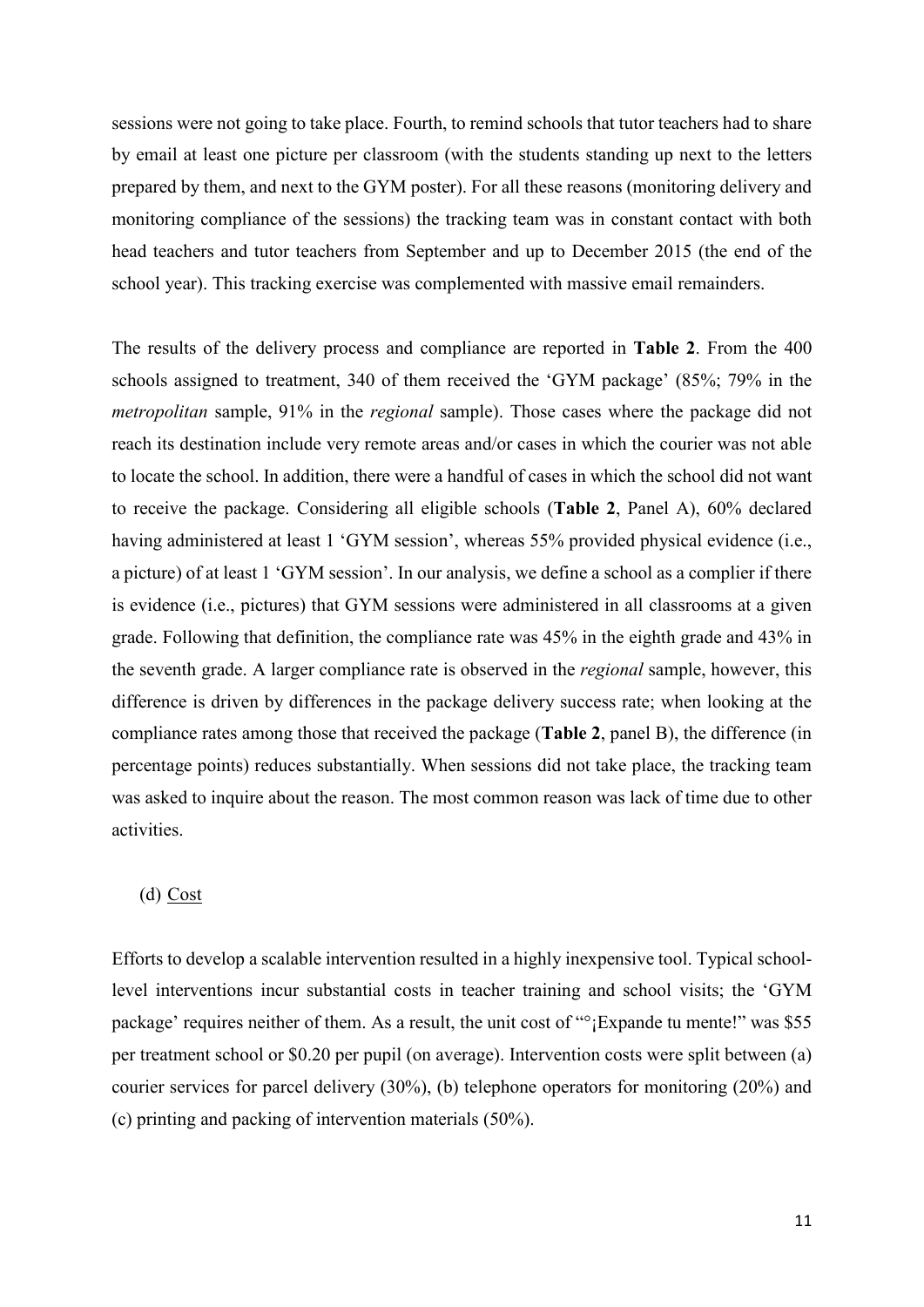sessions were not going to take place. Fourth, to remind schools that tutor teachers had to share by email at least one picture per classroom (with the students standing up next to the letters prepared by them, and next to the GYM poster). For all these reasons (monitoring delivery and monitoring compliance of the sessions) the tracking team was in constant contact with both head teachers and tutor teachers from September and up to December 2015 (the end of the school year). This tracking exercise was complemented with massive email remainders.

The results of the delivery process and compliance are reported in **Table 2**. From the 400 schools assigned to treatment, 340 of them received the 'GYM package' (85%; 79% in the *metropolitan* sample, 91% in the *regional* sample). Those cases where the package did not reach its destination include very remote areas and/or cases in which the courier was not able to locate the school. In addition, there were a handful of cases in which the school did not want to receive the package. Considering all eligible schools (**Table 2**, Panel A), 60% declared having administered at least 1 'GYM session', whereas 55% provided physical evidence (i.e., a picture) of at least 1 'GYM session'. In our analysis, we define a school as a complier if there is evidence (i.e., pictures) that GYM sessions were administered in all classrooms at a given grade. Following that definition, the compliance rate was 45% in the eighth grade and 43% in the seventh grade. A larger compliance rate is observed in the *regional* sample, however, this difference is driven by differences in the package delivery success rate; when looking at the compliance rates among those that received the package (**Table 2**, panel B), the difference (in percentage points) reduces substantially. When sessions did not take place, the tracking team was asked to inquire about the reason. The most common reason was lack of time due to other activities.

# (d) Cost

Efforts to develop a scalable intervention resulted in a highly inexpensive tool. Typical schoollevel interventions incur substantial costs in teacher training and school visits; the 'GYM package' requires neither of them. As a result, the unit cost of "°¡Expande tu mente!" was \$55 per treatment school or \$0.20 per pupil (on average). Intervention costs were split between (a) courier services for parcel delivery (30%), (b) telephone operators for monitoring (20%) and (c) printing and packing of intervention materials (50%).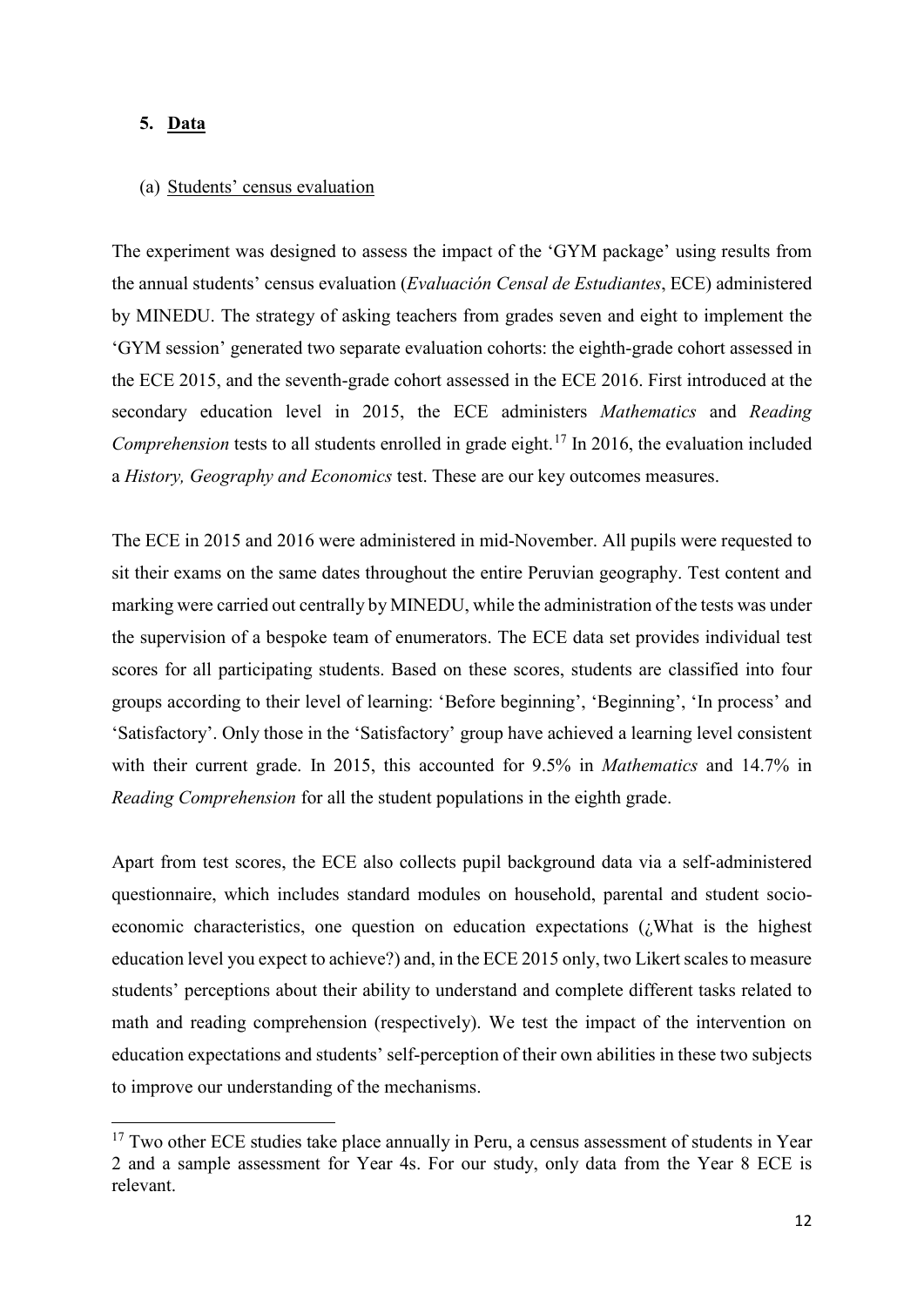#### **5. Data**

 $\overline{a}$ 

#### (a) Students' census evaluation

The experiment was designed to assess the impact of the 'GYM package' using results from the annual students' census evaluation (*Evaluación Censal de Estudiantes*, ECE) administered by MINEDU. The strategy of asking teachers from grades seven and eight to implement the 'GYM session' generated two separate evaluation cohorts: the eighth-grade cohort assessed in the ECE 2015, and the seventh-grade cohort assessed in the ECE 2016. First introduced at the secondary education level in 2015, the ECE administers *Mathematics* and *Reading Comprehension* tests to all students enrolled in grade eight. [17](#page-13-0) In 2016, the evaluation included a *History, Geography and Economics* test. These are our key outcomes measures.

The ECE in 2015 and 2016 were administered in mid-November. All pupils were requested to sit their exams on the same dates throughout the entire Peruvian geography. Test content and marking were carried out centrally by MINEDU, while the administration of the tests was under the supervision of a bespoke team of enumerators. The ECE data set provides individual test scores for all participating students. Based on these scores, students are classified into four groups according to their level of learning: 'Before beginning', 'Beginning', 'In process' and 'Satisfactory'. Only those in the 'Satisfactory' group have achieved a learning level consistent with their current grade. In 2015, this accounted for 9.5% in *Mathematics* and 14.7% in *Reading Comprehension* for all the student populations in the eighth grade.

Apart from test scores, the ECE also collects pupil background data via a self-administered questionnaire, which includes standard modules on household, parental and student socioeconomic characteristics, one question on education expectations (¿What is the highest education level you expect to achieve?) and, in the ECE 2015 only, two Likert scales to measure students' perceptions about their ability to understand and complete different tasks related to math and reading comprehension (respectively). We test the impact of the intervention on education expectations and students' self-perception of their own abilities in these two subjects to improve our understanding of the mechanisms.

<span id="page-13-0"></span> $17$  Two other ECE studies take place annually in Peru, a census assessment of students in Year 2 and a sample assessment for Year 4s. For our study, only data from the Year 8 ECE is relevant.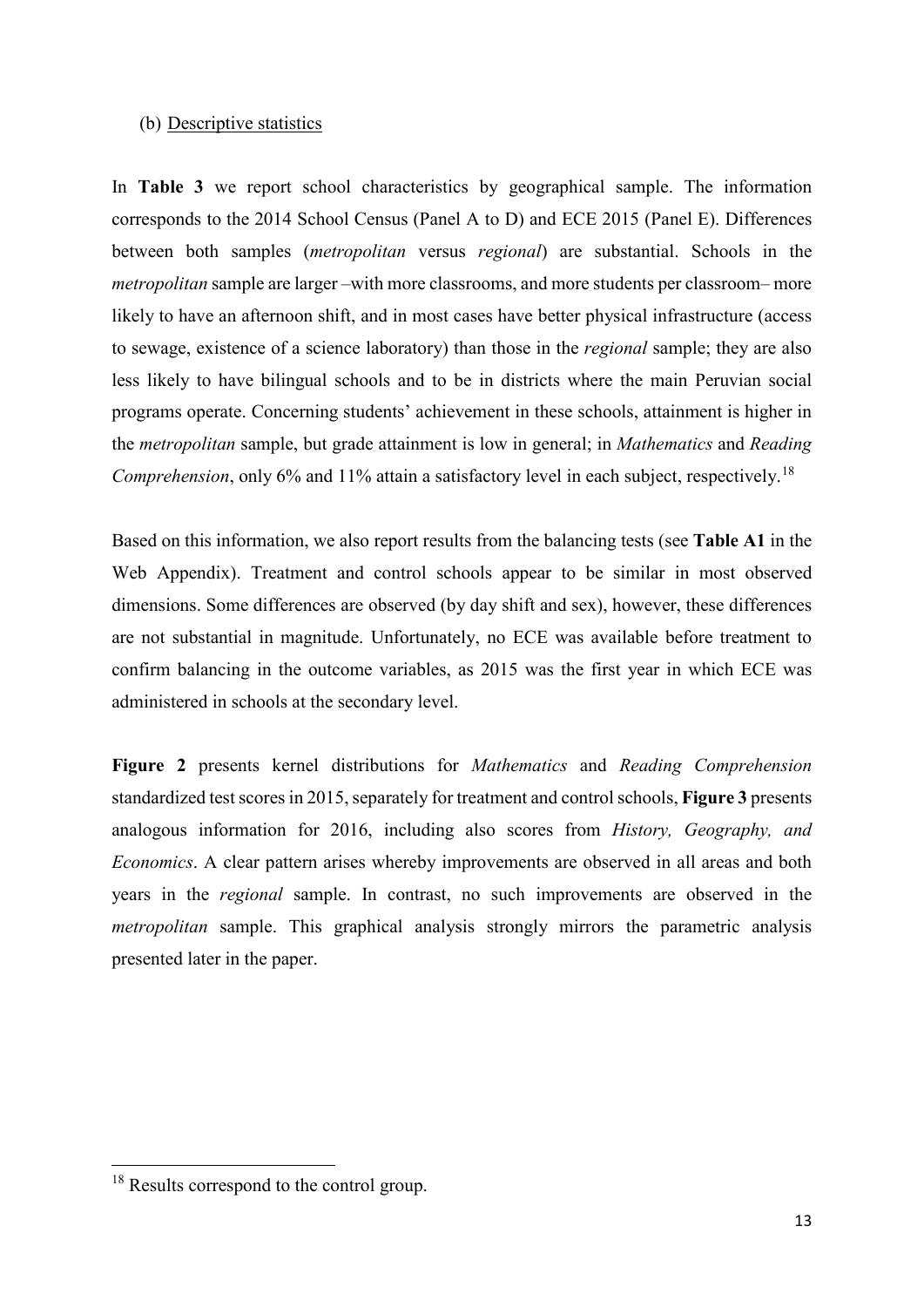#### (b) Descriptive statistics

In **Table 3** we report school characteristics by geographical sample. The information corresponds to the 2014 School Census (Panel A to D) and ECE 2015 (Panel E). Differences between both samples (*metropolitan* versus *regional*) are substantial. Schools in the *metropolitan* sample are larger –with more classrooms, and more students per classroom– more likely to have an afternoon shift, and in most cases have better physical infrastructure (access to sewage, existence of a science laboratory) than those in the *regional* sample; they are also less likely to have bilingual schools and to be in districts where the main Peruvian social programs operate. Concerning students' achievement in these schools, attainment is higher in the *metropolitan* sample, but grade attainment is low in general; in *Mathematics* and *Reading Comprehension*, only 6% and 11% attain a satisfactory level in each subject, respectively.<sup>[18](#page-14-0)</sup>

Based on this information, we also report results from the balancing tests (see **Table A1** in the Web Appendix). Treatment and control schools appear to be similar in most observed dimensions. Some differences are observed (by day shift and sex), however, these differences are not substantial in magnitude. Unfortunately, no ECE was available before treatment to confirm balancing in the outcome variables, as 2015 was the first year in which ECE was administered in schools at the secondary level.

**Figure 2** presents kernel distributions for *Mathematics* and *Reading Comprehension* standardized test scores in 2015, separately for treatment and control schools, **Figure 3** presents analogous information for 2016, including also scores from *History, Geography, and Economics*. A clear pattern arises whereby improvements are observed in all areas and both years in the *regional* sample. In contrast, no such improvements are observed in the *metropolitan* sample. This graphical analysis strongly mirrors the parametric analysis presented later in the paper.

<u>.</u>

<span id="page-14-0"></span><sup>&</sup>lt;sup>18</sup> Results correspond to the control group.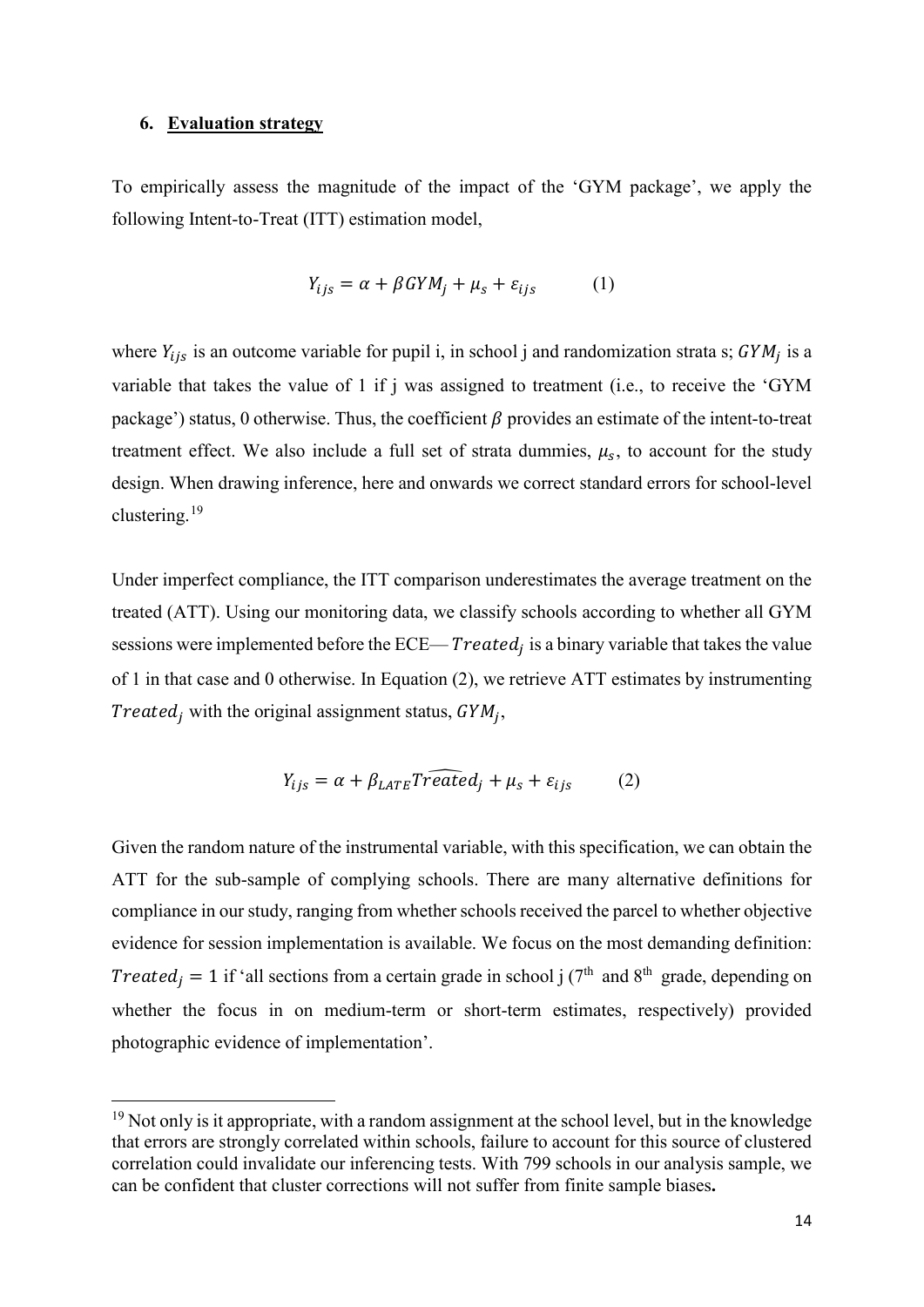#### **6. Evaluation strategy**

**.** 

To empirically assess the magnitude of the impact of the 'GYM package', we apply the following Intent-to-Treat (ITT) estimation model,

$$
Y_{ijs} = \alpha + \beta G Y M_j + \mu_s + \varepsilon_{ijs} \tag{1}
$$

where  $Y_{ijs}$  is an outcome variable for pupil i, in school j and randomization strata s;  $GYM_j$  is a variable that takes the value of 1 if j was assigned to treatment (i.e., to receive the 'GYM package') status, 0 otherwise. Thus, the coefficient  $\beta$  provides an estimate of the intent-to-treat treatment effect. We also include a full set of strata dummies,  $\mu_s$ , to account for the study design. When drawing inference, here and onwards we correct standard errors for school-level clustering.[19](#page-15-0)

Under imperfect compliance, the ITT comparison underestimates the average treatment on the treated (ATT). Using our monitoring data, we classify schools according to whether all GYM sessions were implemented before the  $ECE = Treated_i$  is a binary variable that takes the value of 1 in that case and 0 otherwise. In Equation (2), we retrieve ATT estimates by instrumenting Treated, with the original assignment status,  $GYM_i$ ,

$$
Y_{ijs} = \alpha + \beta_{LATE} T \widehat{reated}_j + \mu_s + \varepsilon_{ijs} \tag{2}
$$

Given the random nature of the instrumental variable, with this specification, we can obtain the ATT for the sub-sample of complying schools. There are many alternative definitions for compliance in our study, ranging from whether schools received the parcel to whether objective evidence for session implementation is available. We focus on the most demanding definition: *Treated<sub>j</sub>* = 1 if 'all sections from a certain grade in school j (7<sup>th</sup> and 8<sup>th</sup> grade, depending on whether the focus in on medium-term or short-term estimates, respectively) provided photographic evidence of implementation'.

<span id="page-15-0"></span> $19$  Not only is it appropriate, with a random assignment at the school level, but in the knowledge that errors are strongly correlated within schools, failure to account for this source of clustered correlation could invalidate our inferencing tests. With 799 schools in our analysis sample, we can be confident that cluster corrections will not suffer from finite sample biases**.**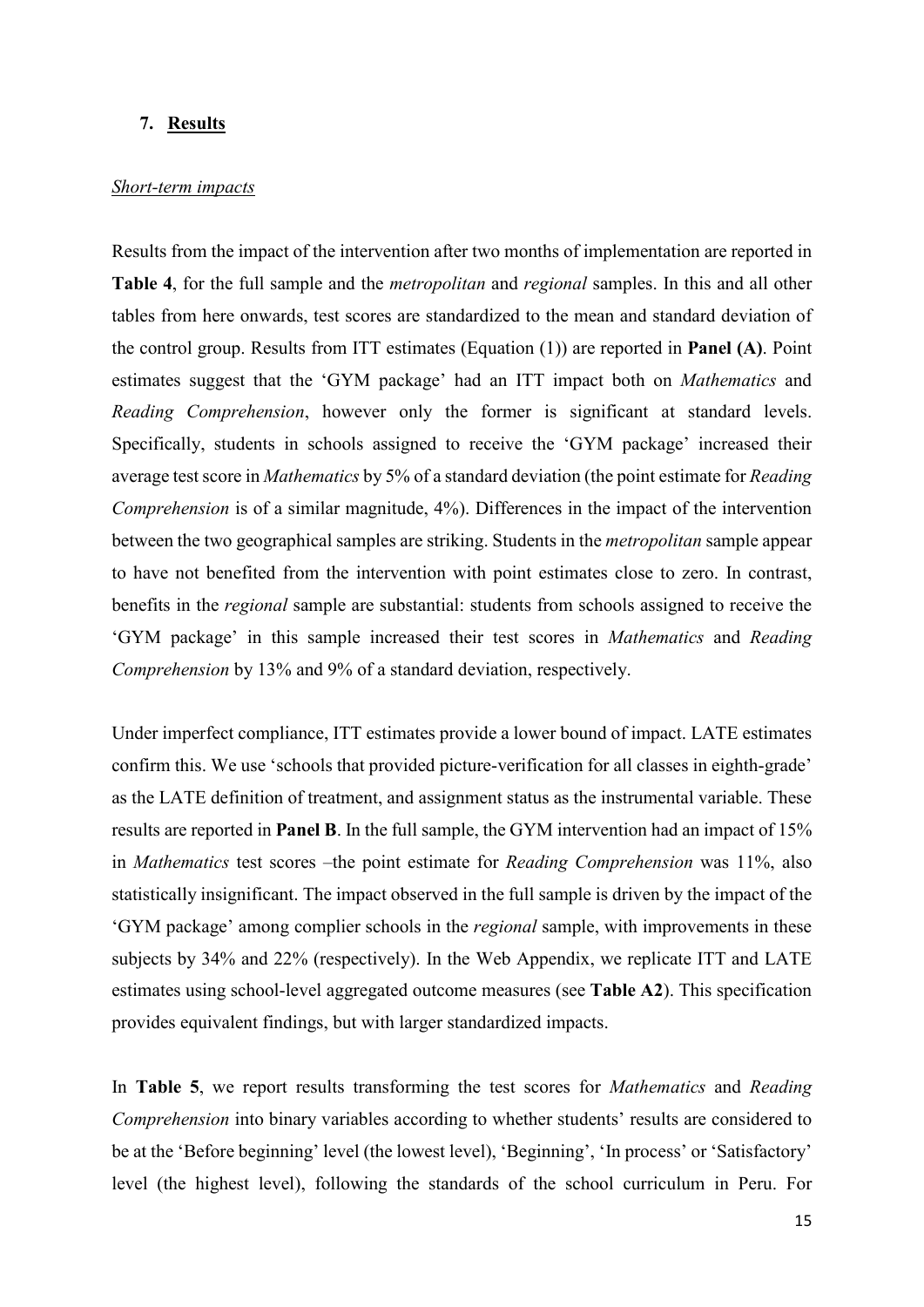#### **7. Results**

#### *Short-term impacts*

Results from the impact of the intervention after two months of implementation are reported in **Table 4**, for the full sample and the *metropolitan* and *regional* samples. In this and all other tables from here onwards, test scores are standardized to the mean and standard deviation of the control group. Results from ITT estimates (Equation (1)) are reported in **Panel (A)**. Point estimates suggest that the 'GYM package' had an ITT impact both on *Mathematics* and *Reading Comprehension*, however only the former is significant at standard levels. Specifically, students in schools assigned to receive the 'GYM package' increased their average test score in *Mathematics* by 5% of a standard deviation (the point estimate for *Reading Comprehension* is of a similar magnitude, 4%). Differences in the impact of the intervention between the two geographical samples are striking. Students in the *metropolitan* sample appear to have not benefited from the intervention with point estimates close to zero. In contrast, benefits in the *regional* sample are substantial: students from schools assigned to receive the 'GYM package' in this sample increased their test scores in *Mathematics* and *Reading Comprehension* by 13% and 9% of a standard deviation, respectively.

Under imperfect compliance, ITT estimates provide a lower bound of impact. LATE estimates confirm this. We use 'schools that provided picture-verification for all classes in eighth-grade' as the LATE definition of treatment, and assignment status as the instrumental variable. These results are reported in **Panel B**. In the full sample, the GYM intervention had an impact of 15% in *Mathematics* test scores –the point estimate for *Reading Comprehension* was 11%, also statistically insignificant. The impact observed in the full sample is driven by the impact of the 'GYM package' among complier schools in the *regional* sample, with improvements in these subjects by 34% and 22% (respectively). In the Web Appendix, we replicate ITT and LATE estimates using school-level aggregated outcome measures (see **Table A2**). This specification provides equivalent findings, but with larger standardized impacts.

In **Table 5**, we report results transforming the test scores for *Mathematics* and *Reading Comprehension* into binary variables according to whether students' results are considered to be at the 'Before beginning' level (the lowest level), 'Beginning', 'In process' or 'Satisfactory' level (the highest level), following the standards of the school curriculum in Peru. For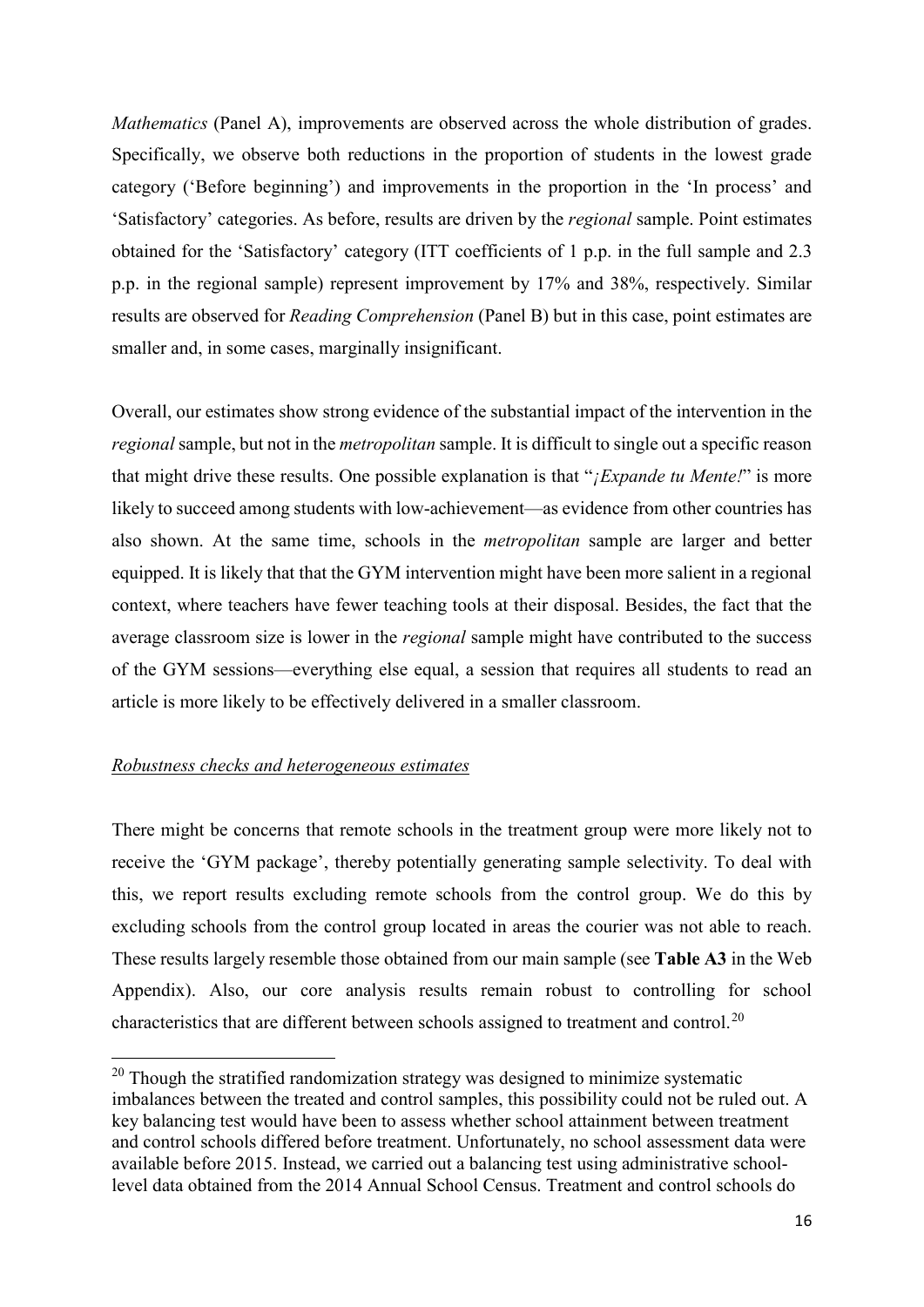*Mathematics* (Panel A), improvements are observed across the whole distribution of grades. Specifically, we observe both reductions in the proportion of students in the lowest grade category ('Before beginning') and improvements in the proportion in the 'In process' and 'Satisfactory' categories. As before, results are driven by the *regional* sample. Point estimates obtained for the 'Satisfactory' category (ITT coefficients of 1 p.p. in the full sample and 2.3 p.p. in the regional sample) represent improvement by 17% and 38%, respectively. Similar results are observed for *Reading Comprehension* (Panel B) but in this case, point estimates are smaller and, in some cases, marginally insignificant.

Overall, our estimates show strong evidence of the substantial impact of the intervention in the *regional* sample, but not in the *metropolitan* sample. It is difficult to single out a specific reason that might drive these results. One possible explanation is that "*¡Expande tu Mente!*" is more likely to succeed among students with low-achievement—as evidence from other countries has also shown. At the same time, schools in the *metropolitan* sample are larger and better equipped. It is likely that that the GYM intervention might have been more salient in a regional context, where teachers have fewer teaching tools at their disposal. Besides, the fact that the average classroom size is lower in the *regional* sample might have contributed to the success of the GYM sessions—everything else equal, a session that requires all students to read an article is more likely to be effectively delivered in a smaller classroom.

#### *Robustness checks and heterogeneous estimates*

<u>.</u>

There might be concerns that remote schools in the treatment group were more likely not to receive the 'GYM package', thereby potentially generating sample selectivity. To deal with this, we report results excluding remote schools from the control group. We do this by excluding schools from the control group located in areas the courier was not able to reach. These results largely resemble those obtained from our main sample (see **Table A3** in the Web Appendix). Also, our core analysis results remain robust to controlling for school characteristics that are different between schools assigned to treatment and control.<sup>[20](#page-17-0)</sup>

<span id="page-17-0"></span> $20$  Though the stratified randomization strategy was designed to minimize systematic imbalances between the treated and control samples, this possibility could not be ruled out. A key balancing test would have been to assess whether school attainment between treatment and control schools differed before treatment. Unfortunately, no school assessment data were available before 2015. Instead, we carried out a balancing test using administrative schoollevel data obtained from the 2014 Annual School Census. Treatment and control schools do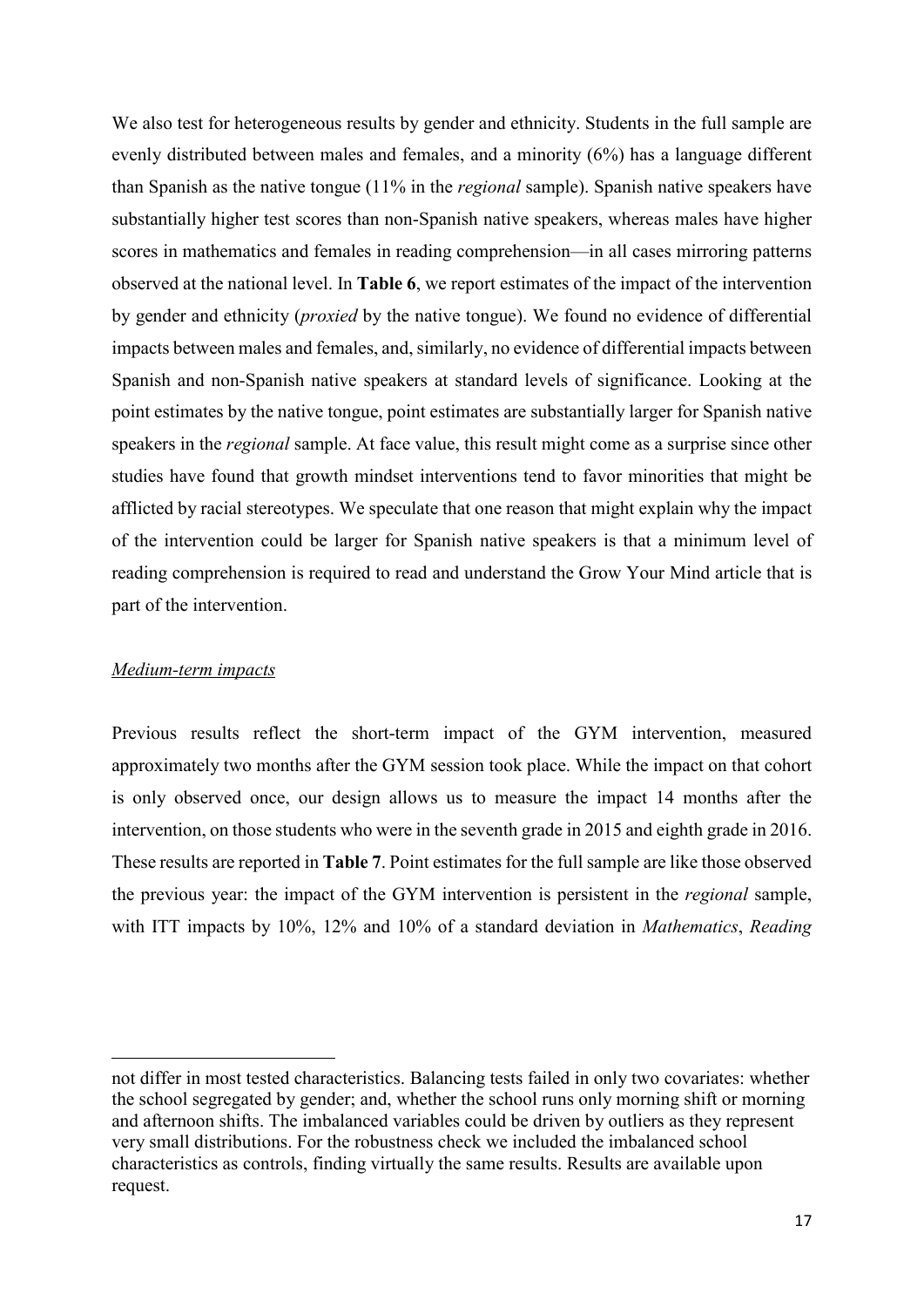We also test for heterogeneous results by gender and ethnicity. Students in the full sample are evenly distributed between males and females, and a minority (6%) has a language different than Spanish as the native tongue (11% in the *regional* sample). Spanish native speakers have substantially higher test scores than non-Spanish native speakers, whereas males have higher scores in mathematics and females in reading comprehension—in all cases mirroring patterns observed at the national level. In **Table 6**, we report estimates of the impact of the intervention by gender and ethnicity (*proxied* by the native tongue). We found no evidence of differential impacts between males and females, and, similarly, no evidence of differential impacts between Spanish and non-Spanish native speakers at standard levels of significance. Looking at the point estimates by the native tongue, point estimates are substantially larger for Spanish native speakers in the *regional* sample. At face value, this result might come as a surprise since other studies have found that growth mindset interventions tend to favor minorities that might be afflicted by racial stereotypes. We speculate that one reason that might explain why the impact of the intervention could be larger for Spanish native speakers is that a minimum level of reading comprehension is required to read and understand the Grow Your Mind article that is part of the intervention.

#### *Medium-term impacts*

<u>.</u>

Previous results reflect the short-term impact of the GYM intervention, measured approximately two months after the GYM session took place. While the impact on that cohort is only observed once, our design allows us to measure the impact 14 months after the intervention, on those students who were in the seventh grade in 2015 and eighth grade in 2016. These results are reported in **Table 7**. Point estimates for the full sample are like those observed the previous year: the impact of the GYM intervention is persistent in the *regional* sample, with ITT impacts by 10%, 12% and 10% of a standard deviation in *Mathematics*, *Reading* 

not differ in most tested characteristics. Balancing tests failed in only two covariates: whether the school segregated by gender; and, whether the school runs only morning shift or morning and afternoon shifts. The imbalanced variables could be driven by outliers as they represent very small distributions. For the robustness check we included the imbalanced school characteristics as controls, finding virtually the same results. Results are available upon request.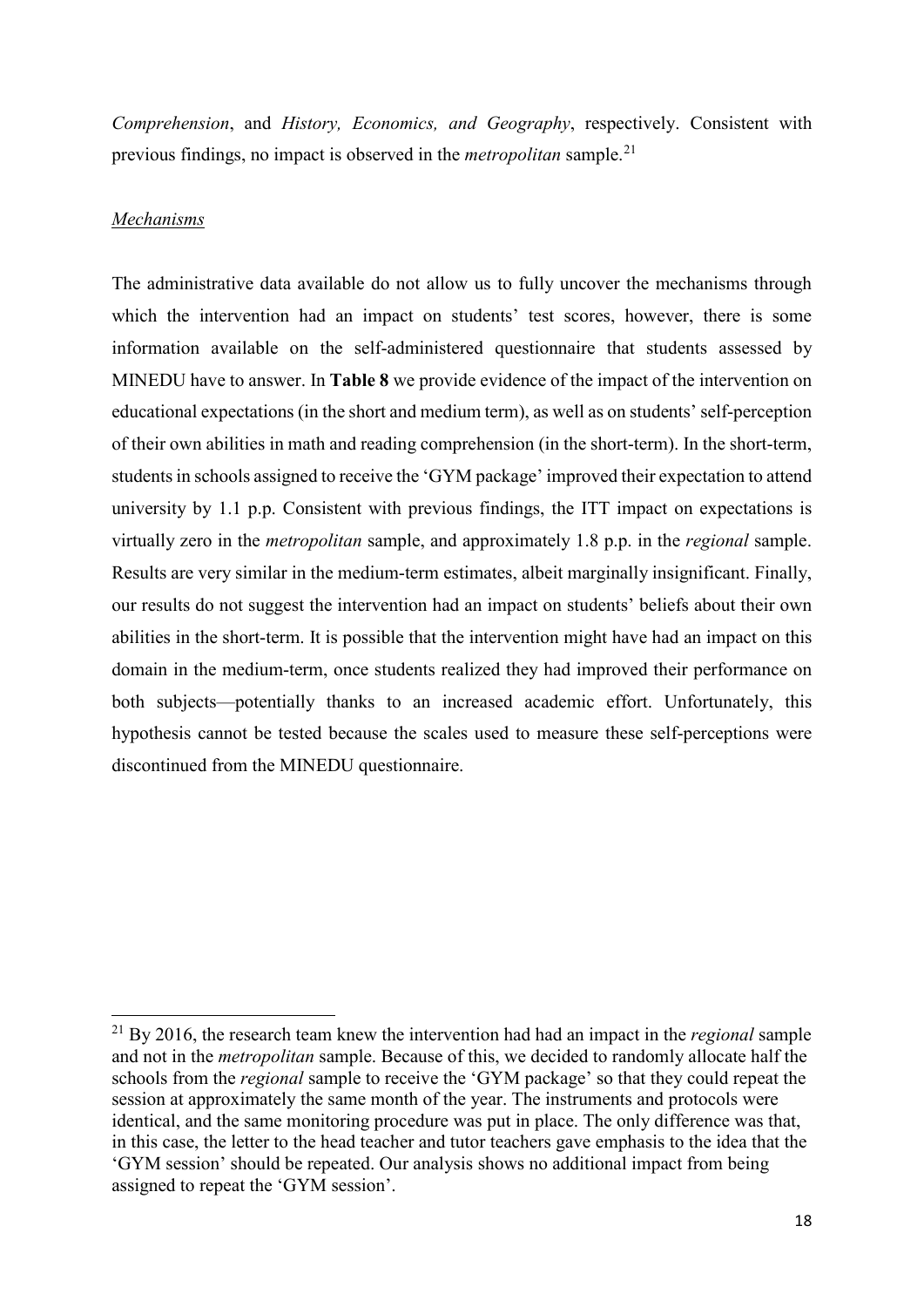*Comprehension*, and *History, Economics, and Geography*, respectively. Consistent with previous findings, no impact is observed in the *metropolitan* sample.[21](#page-19-0)

#### *Mechanisms*

 $\overline{a}$ 

The administrative data available do not allow us to fully uncover the mechanisms through which the intervention had an impact on students' test scores, however, there is some information available on the self-administered questionnaire that students assessed by MINEDU have to answer. In **Table 8** we provide evidence of the impact of the intervention on educational expectations (in the short and medium term), as well as on students' self-perception of their own abilities in math and reading comprehension (in the short-term). In the short-term, students in schools assigned to receive the 'GYM package' improved their expectation to attend university by 1.1 p.p. Consistent with previous findings, the ITT impact on expectations is virtually zero in the *metropolitan* sample, and approximately 1.8 p.p. in the *regional* sample. Results are very similar in the medium-term estimates, albeit marginally insignificant. Finally, our results do not suggest the intervention had an impact on students' beliefs about their own abilities in the short-term. It is possible that the intervention might have had an impact on this domain in the medium-term, once students realized they had improved their performance on both subjects—potentially thanks to an increased academic effort. Unfortunately, this hypothesis cannot be tested because the scales used to measure these self-perceptions were discontinued from the MINEDU questionnaire.

<span id="page-19-0"></span><sup>21</sup> By 2016, the research team knew the intervention had had an impact in the *regional* sample and not in the *metropolitan* sample. Because of this, we decided to randomly allocate half the schools from the *regional* sample to receive the 'GYM package' so that they could repeat the session at approximately the same month of the year. The instruments and protocols were identical, and the same monitoring procedure was put in place. The only difference was that, in this case, the letter to the head teacher and tutor teachers gave emphasis to the idea that the 'GYM session' should be repeated. Our analysis shows no additional impact from being assigned to repeat the 'GYM session'.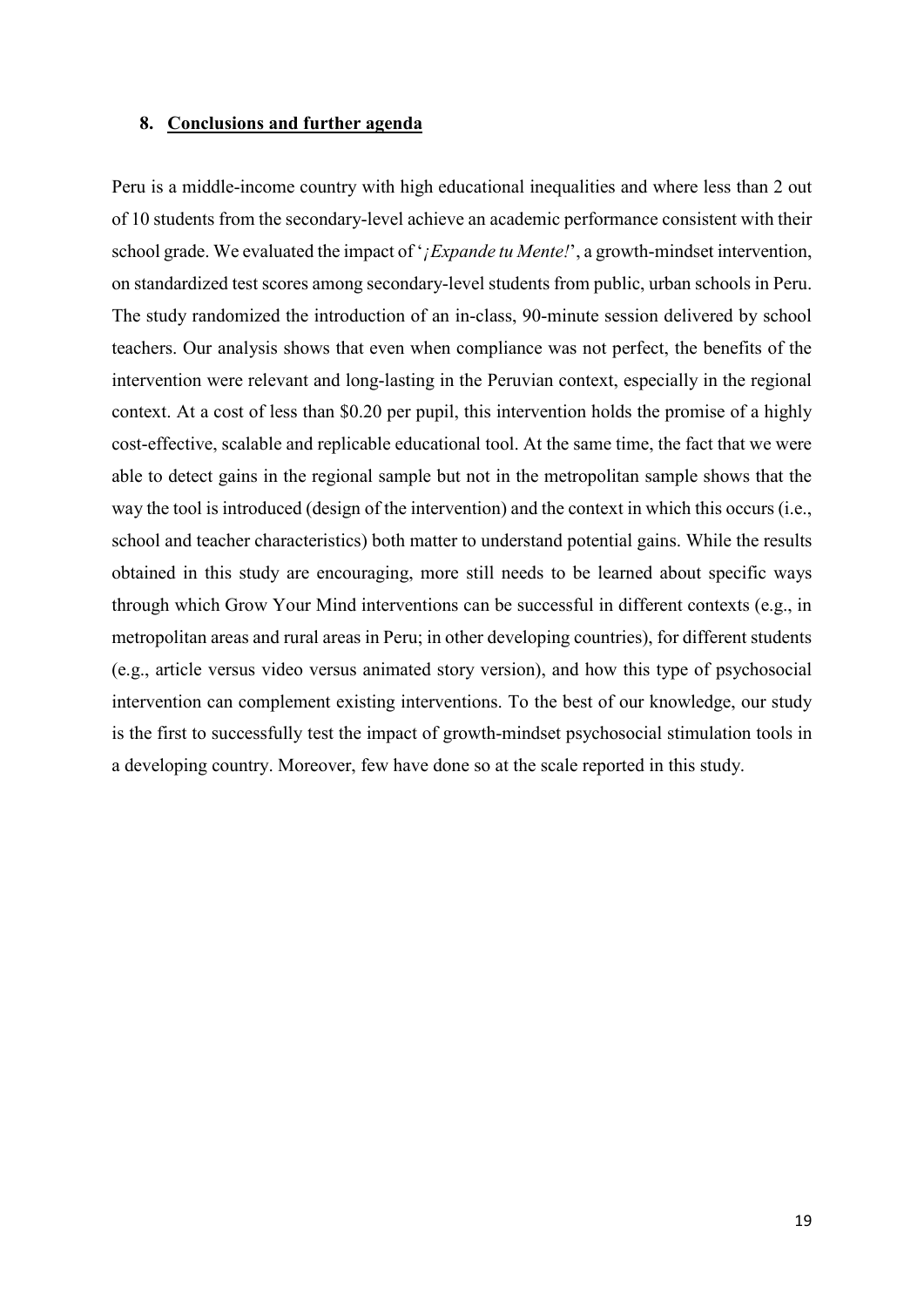#### **8. Conclusions and further agenda**

Peru is a middle-income country with high educational inequalities and where less than 2 out of 10 students from the secondary-level achieve an academic performance consistent with their school grade. We evaluated the impact of '*¡Expande tu Mente!*', a growth-mindset intervention, on standardized test scores among secondary-level students from public, urban schools in Peru. The study randomized the introduction of an in-class, 90-minute session delivered by school teachers. Our analysis shows that even when compliance was not perfect, the benefits of the intervention were relevant and long-lasting in the Peruvian context, especially in the regional context. At a cost of less than \$0.20 per pupil, this intervention holds the promise of a highly cost-effective, scalable and replicable educational tool. At the same time, the fact that we were able to detect gains in the regional sample but not in the metropolitan sample shows that the way the tool is introduced (design of the intervention) and the context in which this occurs (i.e., school and teacher characteristics) both matter to understand potential gains. While the results obtained in this study are encouraging, more still needs to be learned about specific ways through which Grow Your Mind interventions can be successful in different contexts (e.g., in metropolitan areas and rural areas in Peru; in other developing countries), for different students (e.g., article versus video versus animated story version), and how this type of psychosocial intervention can complement existing interventions. To the best of our knowledge, our study is the first to successfully test the impact of growth-mindset psychosocial stimulation tools in a developing country. Moreover, few have done so at the scale reported in this study.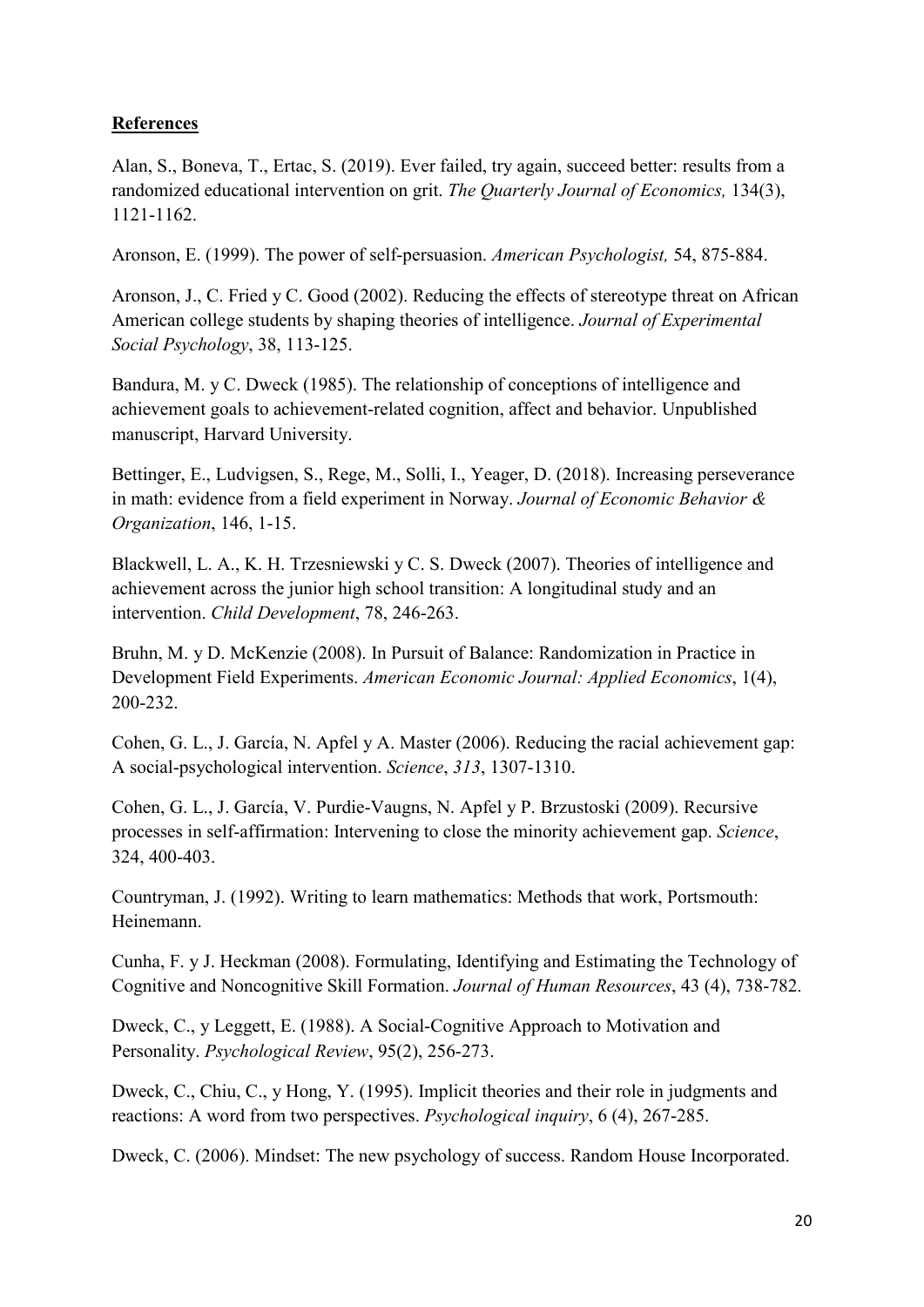# **References**

Alan, S., Boneva, T., Ertac, S. (2019). Ever failed, try again, succeed better: results from a randomized educational intervention on grit. *The Quarterly Journal of Economics,* 134(3), 1121-1162.

Aronson, E. (1999). The power of self-persuasion. *American Psychologist,* 54, 875-884.

Aronson, J., C. Fried y C. Good (2002). Reducing the effects of stereotype threat on African American college students by shaping theories of intelligence. *Journal of Experimental Social Psychology*, 38, 113-125.

Bandura, M. y C. Dweck (1985). The relationship of conceptions of intelligence and achievement goals to achievement-related cognition, affect and behavior. Unpublished manuscript, Harvard University.

Bettinger, E., Ludvigsen, S., Rege, M., Solli, I., Yeager, D. (2018). Increasing perseverance in math: evidence from a field experiment in Norway. *Journal of Economic Behavior & Organization*, 146, 1-15.

Blackwell, L. A., K. H. Trzesniewski y C. S. Dweck (2007). Theories of intelligence and achievement across the junior high school transition: A longitudinal study and an intervention. *Child Development*, 78, 246-263.

Bruhn, M. y D. McKenzie (2008). In Pursuit of Balance: Randomization in Practice in Development Field Experiments. *American Economic Journal: Applied Economics*, 1(4), 200-232.

Cohen, G. L., J. García, N. Apfel y A. Master (2006). Reducing the racial achievement gap: A social-psychological intervention. *Science*, *313*, 1307-1310.

Cohen, G. L., J. García, V. Purdie-Vaugns, N. Apfel y P. Brzustoski (2009). Recursive processes in self-affirmation: Intervening to close the minority achievement gap. *Science*, 324, 400-403.

Countryman, J. (1992). Writing to learn mathematics: Methods that work, Portsmouth: Heinemann.

Cunha, F. y J. Heckman (2008). Formulating, Identifying and Estimating the Technology of Cognitive and Noncognitive Skill Formation. *Journal of Human Resources*, 43 (4), 738-782.

Dweck, C., y Leggett, E. (1988). A Social-Cognitive Approach to Motivation and Personality. *Psychological Review*, 95(2), 256-273.

Dweck, C., Chiu, C., y Hong, Y. (1995). Implicit theories and their role in judgments and reactions: A word from two perspectives. *Psychological inquiry*, 6 (4), 267-285.

Dweck, C. (2006). Mindset: The new psychology of success. Random House Incorporated.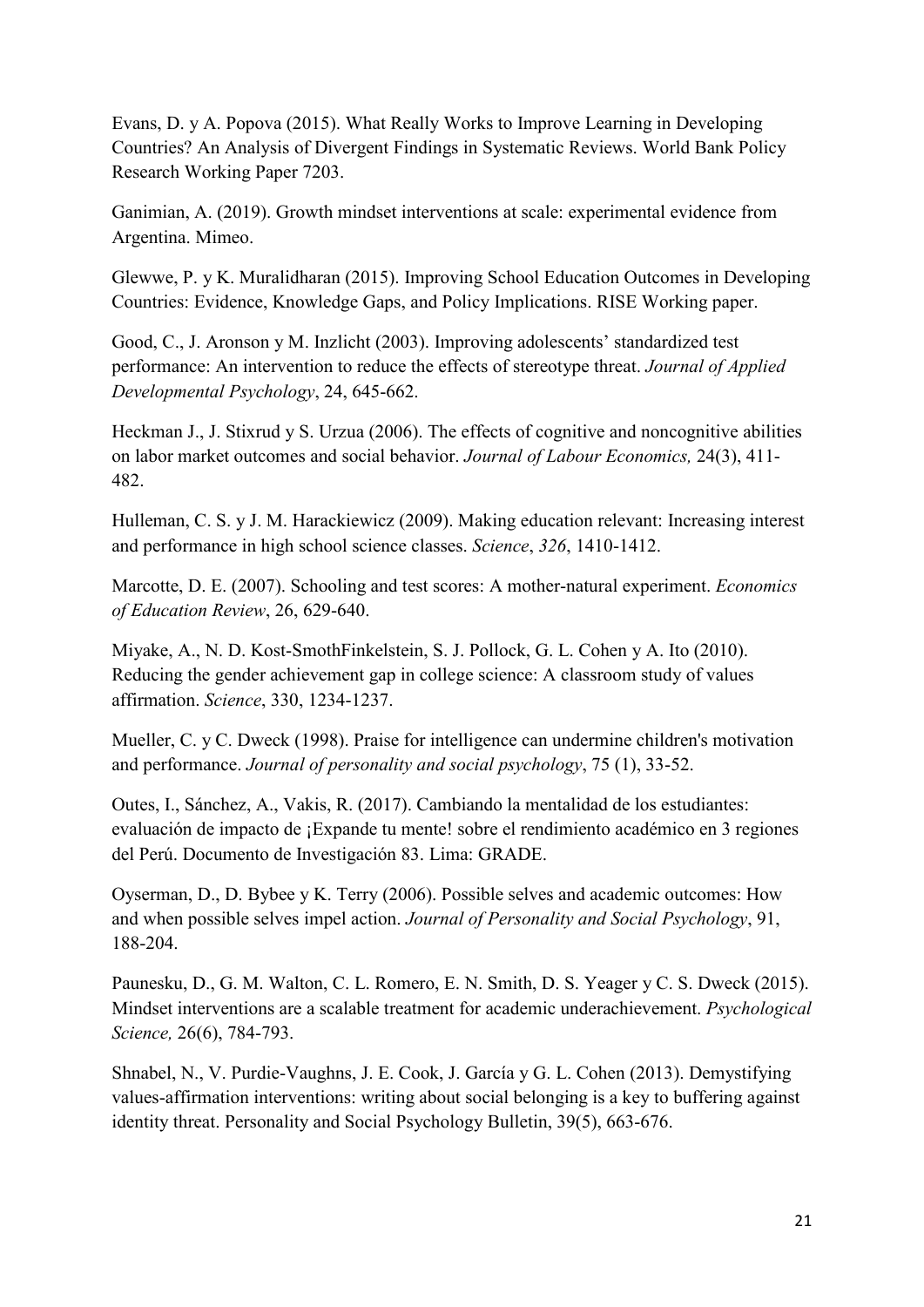Evans, D. y A. Popova (2015). What Really Works to Improve Learning in Developing Countries? An Analysis of Divergent Findings in Systematic Reviews. World Bank Policy Research Working Paper 7203.

Ganimian, A. (2019). Growth mindset interventions at scale: experimental evidence from Argentina. Mimeo.

Glewwe, P. y K. Muralidharan (2015). Improving School Education Outcomes in Developing Countries: Evidence, Knowledge Gaps, and Policy Implications. RISE Working paper.

Good, C., J. Aronson y M. Inzlicht (2003). Improving adolescents' standardized test performance: An intervention to reduce the effects of stereotype threat. *Journal of Applied Developmental Psychology*, 24, 645-662.

Heckman J., J. Stixrud y S. Urzua (2006). The effects of cognitive and noncognitive abilities on labor market outcomes and social behavior. *Journal of Labour Economics,* 24(3), 411- 482.

Hulleman, C. S. y J. M. Harackiewicz (2009). Making education relevant: Increasing interest and performance in high school science classes. *Science*, *326*, 1410-1412.

Marcotte, D. E. (2007). Schooling and test scores: A mother-natural experiment. *Economics of Education Review*, 26, 629-640.

Miyake, A., N. D. Kost-SmothFinkelstein, S. J. Pollock, G. L. Cohen y A. Ito (2010). Reducing the gender achievement gap in college science: A classroom study of values affirmation. *Science*, 330, 1234-1237.

Mueller, C. y C. Dweck (1998). Praise for intelligence can undermine children's motivation and performance. *Journal of personality and social psychology*, 75 (1), 33-52.

Outes, I., Sánchez, A., Vakis, R. (2017). Cambiando la mentalidad de los estudiantes: evaluación de impacto de ¡Expande tu mente! sobre el rendimiento académico en 3 regiones del Perú. Documento de Investigación 83. Lima: GRADE.

Oyserman, D., D. Bybee y K. Terry (2006). Possible selves and academic outcomes: How and when possible selves impel action. *Journal of Personality and Social Psychology*, 91, 188-204.

Paunesku, D., G. M. Walton, C. L. Romero, E. N. Smith, D. S. Yeager y C. S. Dweck (2015). Mindset interventions are a scalable treatment for academic underachievement. *Psychological Science,* 26(6), 784-793.

[Shnabel, N.](https://www.ncbi.nlm.nih.gov/pubmed/?term=Shnabel%20N%5BAuthor%5D&cauthor=true&cauthor_uid=23478675), V. [Purdie-Vaughns, J](https://www.ncbi.nlm.nih.gov/pubmed/?term=Purdie-Vaughns%20V%5BAuthor%5D&cauthor=true&cauthor_uid=23478675). E. [Cook, J.](https://www.ncbi.nlm.nih.gov/pubmed/?term=Cook%20JE%5BAuthor%5D&cauthor=true&cauthor_uid=23478675) [García y G. L.](https://www.ncbi.nlm.nih.gov/pubmed/?term=Garcia%20J%5BAuthor%5D&cauthor=true&cauthor_uid=23478675) [Cohen](https://www.ncbi.nlm.nih.gov/pubmed/?term=Cohen%20GL%5BAuthor%5D&cauthor=true&cauthor_uid=23478675) (2013). Demystifying values-affirmation interventions: writing about social belonging is a key to buffering against identity threat. Personality and Social Psychology Bulletin, 39(5), 663-676.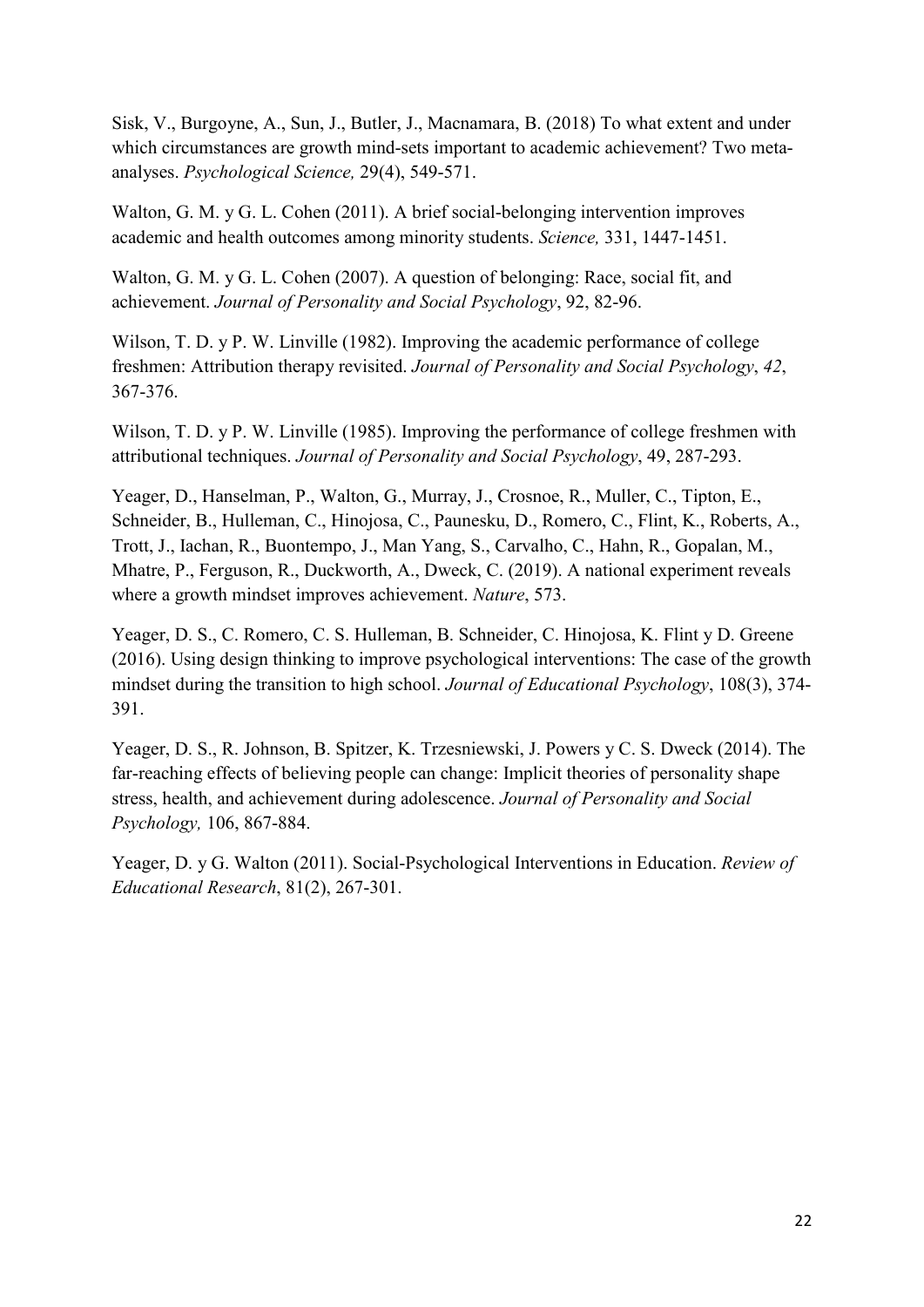Sisk, V., Burgoyne, A., Sun, J., Butler, J., Macnamara, B. (2018) To what extent and under which circumstances are growth mind-sets important to academic achievement? Two metaanalyses. *Psychological Science,* 29(4), 549-571.

Walton, G. M. y G. L. Cohen (2011). A brief social-belonging intervention improves academic and health outcomes among minority students. *Science,* 331, 1447-1451.

Walton, G. M. y G. L. Cohen (2007). A question of belonging: Race, social fit, and achievement. *Journal of Personality and Social Psychology*, 92, 82-96.

Wilson, T. D. y P. W. Linville (1982). Improving the academic performance of college freshmen: Attribution therapy revisited. *Journal of Personality and Social Psychology*, *42*, 367-376.

Wilson, T. D. y P. W. Linville (1985). Improving the performance of college freshmen with attributional techniques. *Journal of Personality and Social Psychology*, 49, 287-293.

Yeager, D., Hanselman, P., Walton, G., Murray, J., Crosnoe, R., Muller, C., Tipton, E., Schneider, B., Hulleman, C., Hinojosa, C., Paunesku, D., Romero, C., Flint, K., Roberts, A., Trott, J., Iachan, R., Buontempo, J., Man Yang, S., Carvalho, C., Hahn, R., Gopalan, M., Mhatre, P., Ferguson, R., Duckworth, A., Dweck, C. (2019). A national experiment reveals where a growth mindset improves achievement. *Nature*, 573.

Yeager, D. S., C. Romero, C. S. Hulleman, B. Schneider, C. Hinojosa, K. Flint y D. Greene (2016). Using design thinking to improve psychological interventions: The case of the growth mindset during the transition to high school. *[Journal of Educational Psychology](https://www.researchgate.net/journal/0022-0663_Journal_of_Educational_Psychology)*, 108(3), 374- 391.

Yeager, D. S., R. Johnson, B. Spitzer, K. Trzesniewski, J. Powers y C. S. Dweck (2014). The far-reaching effects of believing people can change: Implicit theories of personality shape stress, health, and achievement during adolescence. *Journal of Personality and Social Psychology,* 106, 867-884.

Yeager, D. y G. Walton (2011). Social-Psychological Interventions in Education. *Review of Educational Research*, 81(2), 267-301.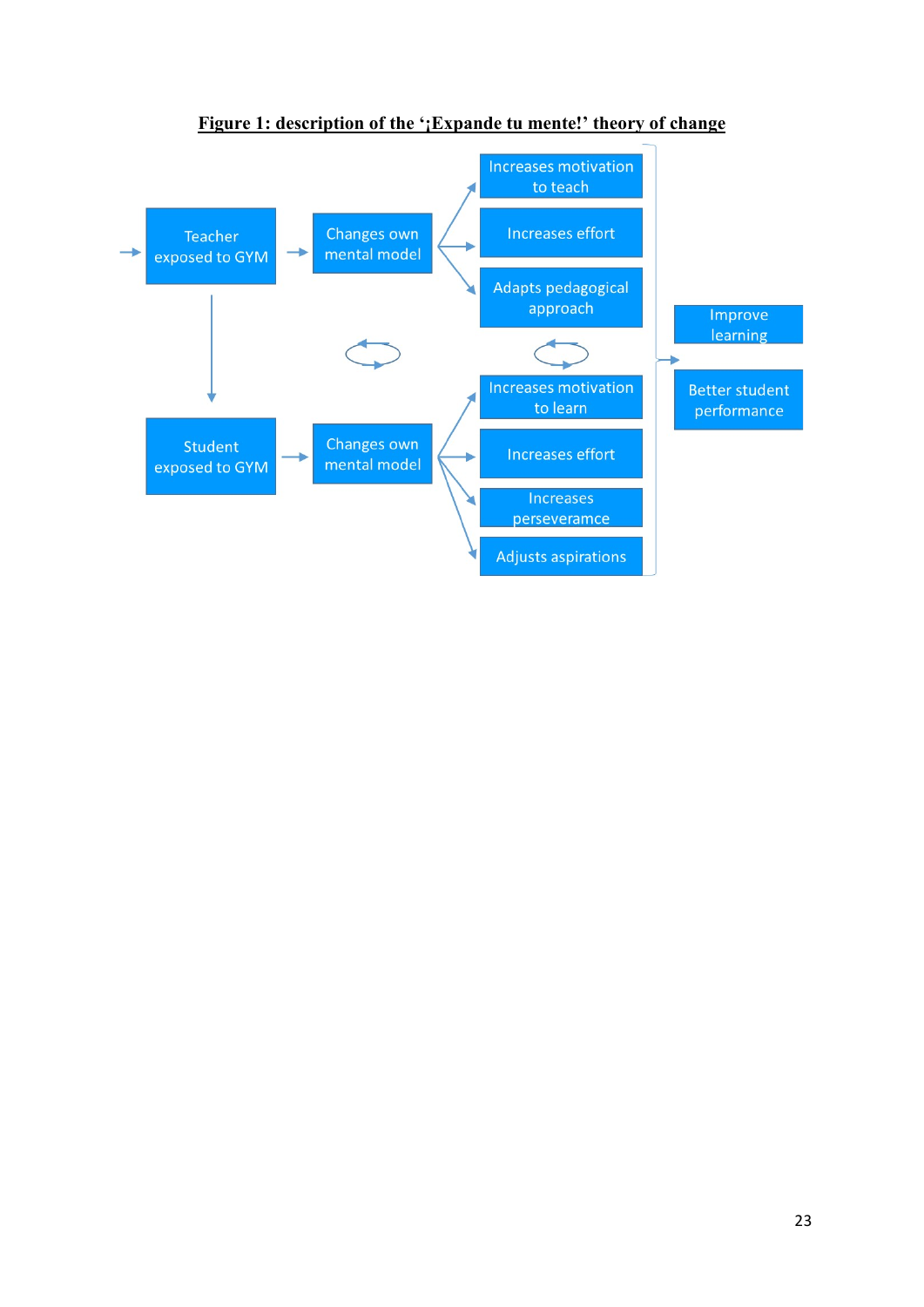

**Figure 1: description of the '¡Expande tu mente!' theory of change**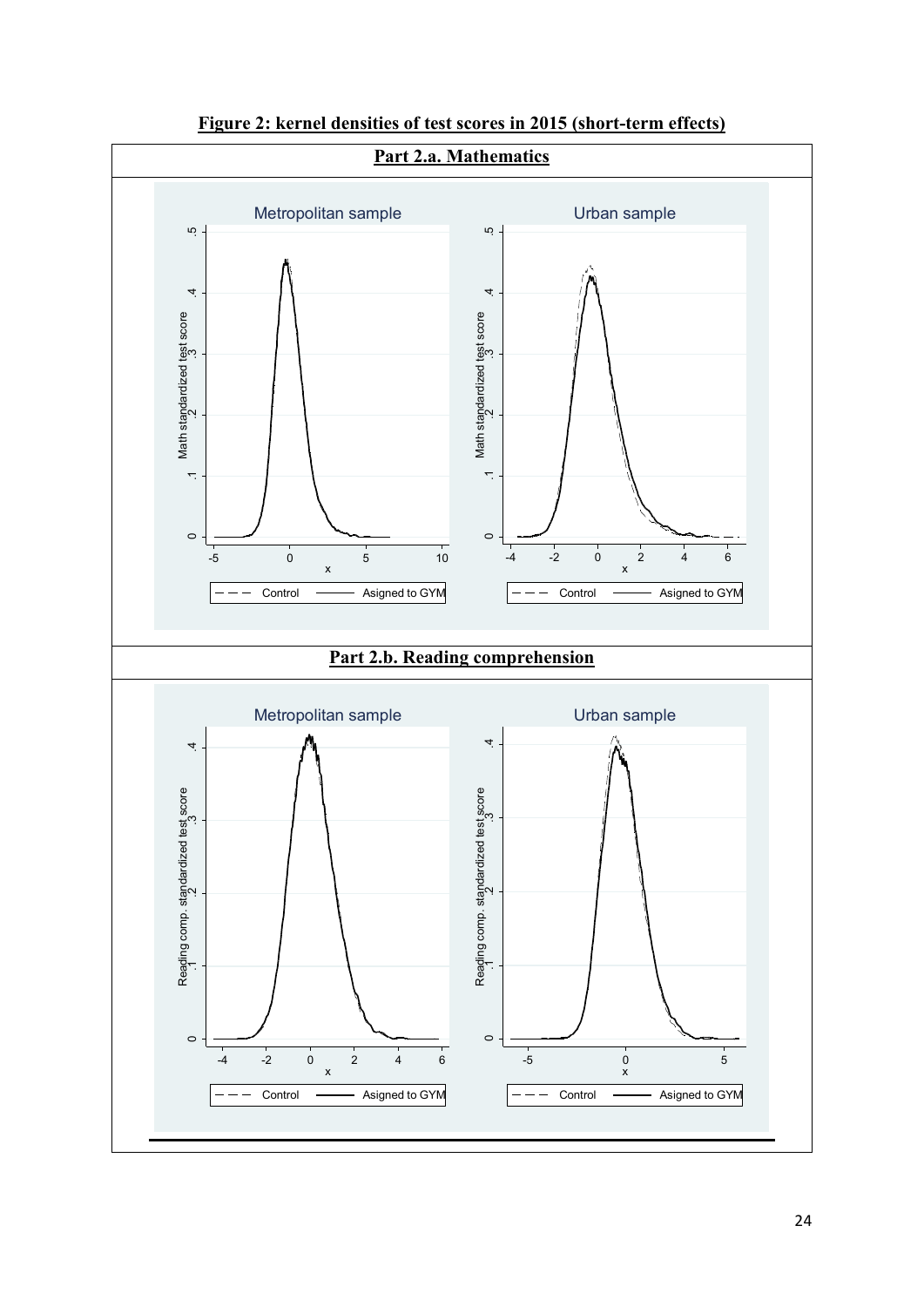

**Figure 2: kernel densities of test scores in 2015 (short-term effects)**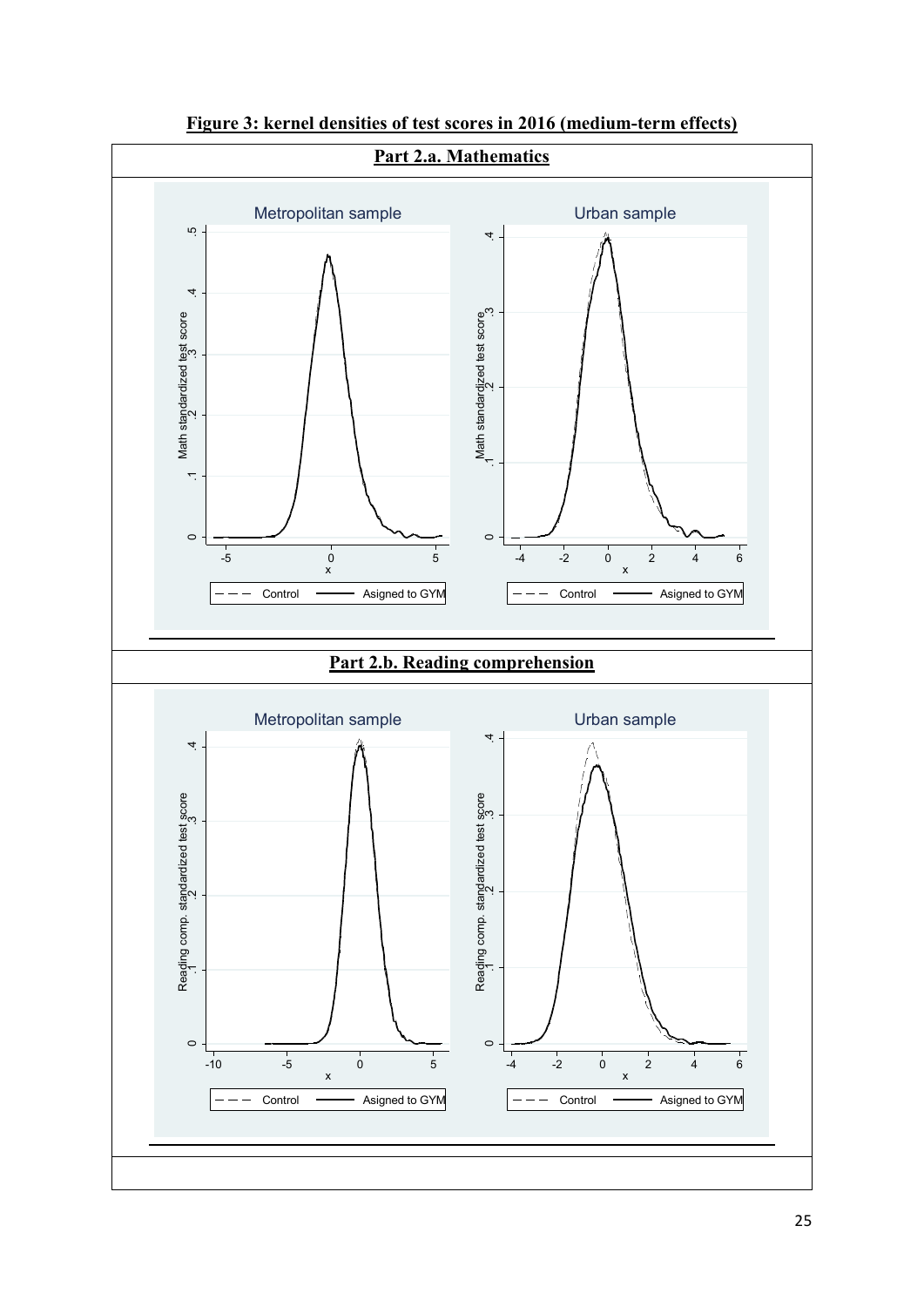

**Figure 3: kernel densities of test scores in 2016 (medium-term effects)**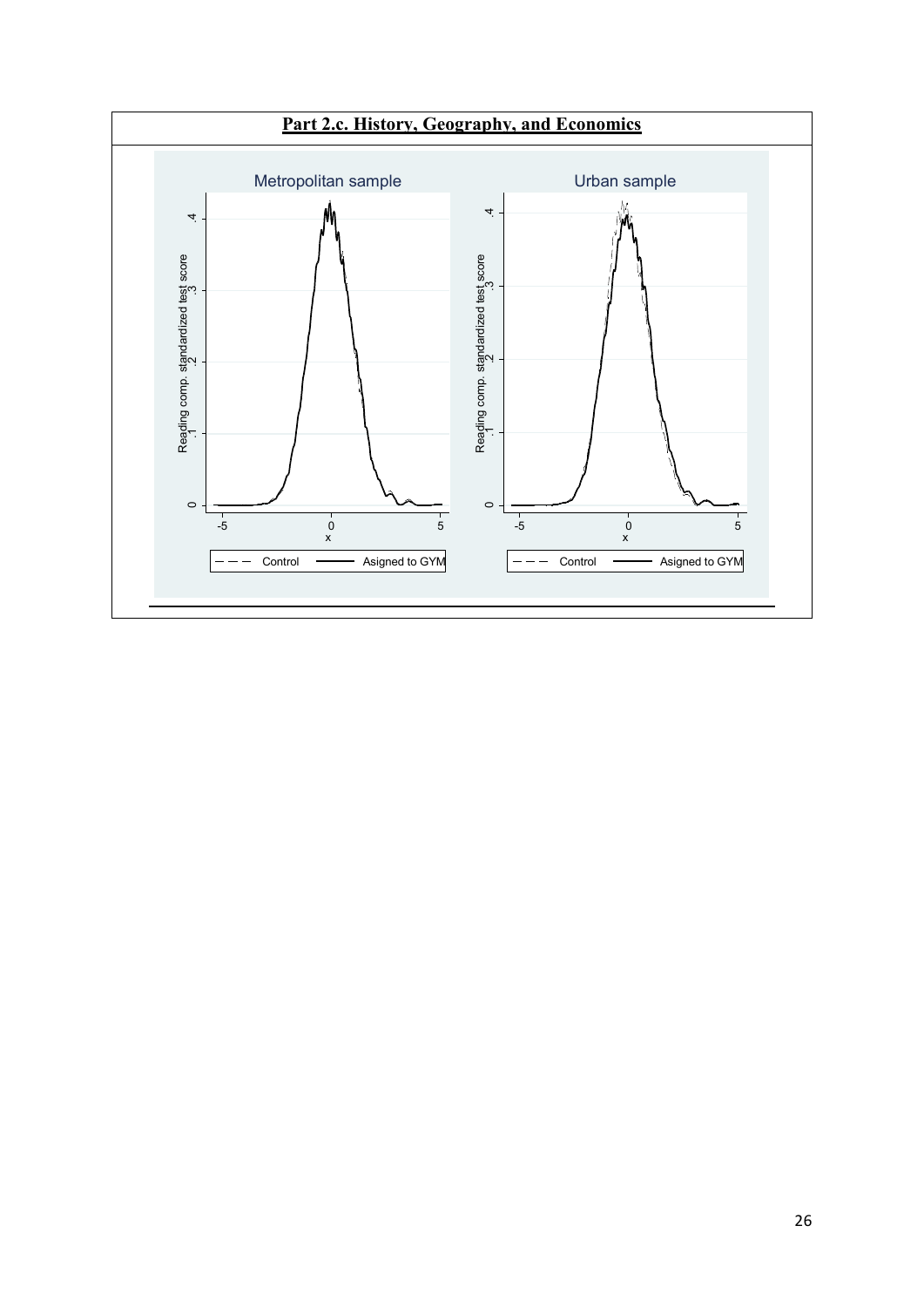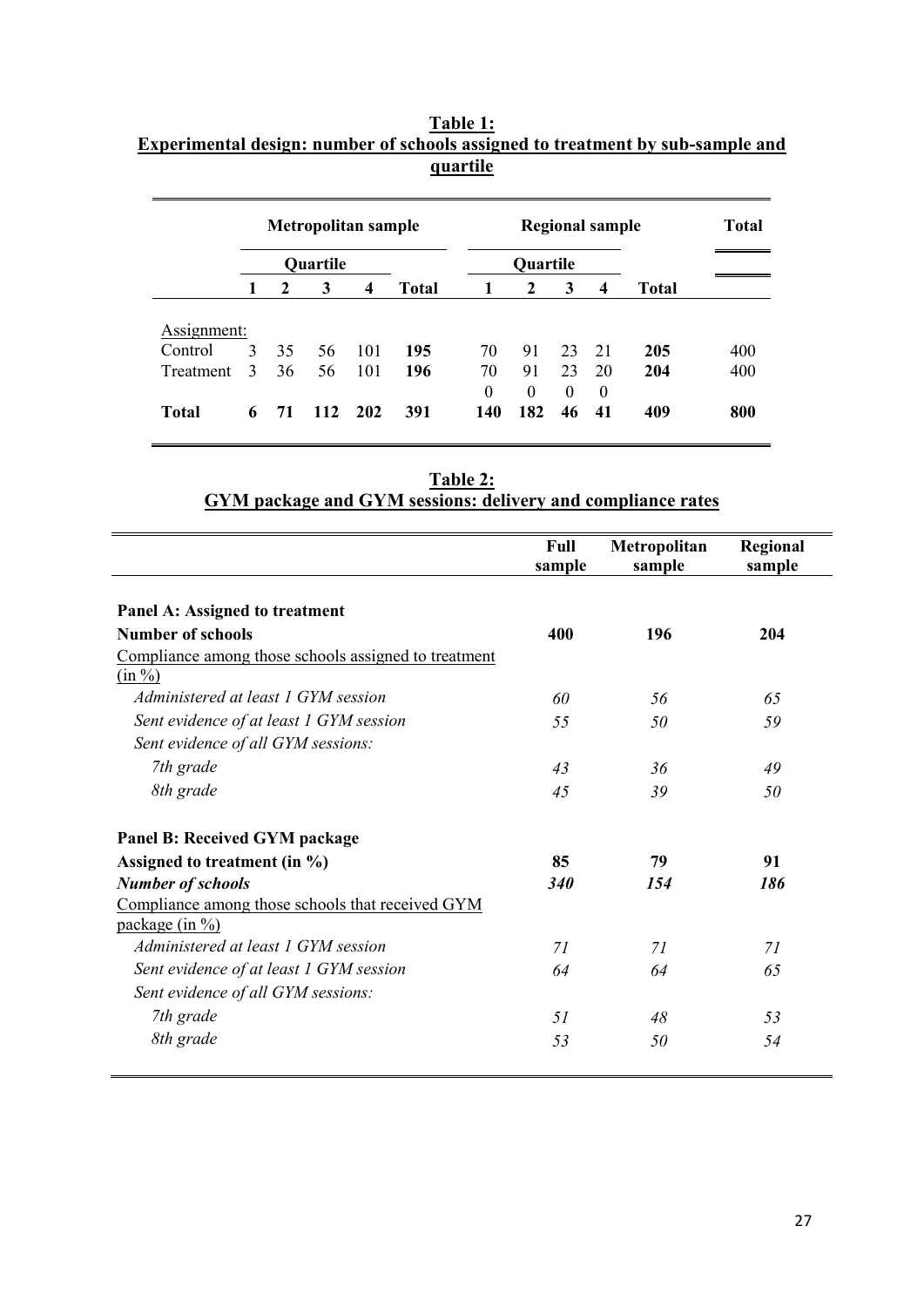|             |                |              | <b>Metropolitan sample</b> |                  |              | <b>Regional sample</b> |              |          |          | <b>Total</b> |     |
|-------------|----------------|--------------|----------------------------|------------------|--------------|------------------------|--------------|----------|----------|--------------|-----|
|             |                |              | <b>Quartile</b>            |                  |              | <b>Quartile</b>        |              |          |          |              |     |
|             | 1              | $\mathbf{2}$ | 3                          | $\boldsymbol{4}$ | <b>Total</b> | $\mathbf{1}$           | $\mathbf{2}$ | 3        | 4        | <b>Total</b> |     |
|             |                |              |                            |                  |              |                        |              |          |          |              |     |
| Assignment: |                |              |                            |                  |              |                        |              |          |          |              |     |
| Control     | 3              | 35           | 56                         | -101             | 195          | 70                     | 91           | 23       | 21       | 205          | 400 |
| Treatment   | $\overline{3}$ | 36           | 56                         | 101              | 196          | 70                     | 91           | 23       | 20       | 204          | 400 |
|             |                |              |                            |                  |              | $\Omega$               | $\Omega$     | $\Omega$ | $\Omega$ |              |     |
|             |                |              |                            |                  |              |                        |              |          |          |              |     |

# **Table 1: Experimental design: number of schools assigned to treatment by sub-sample and quartile**

| Table 2:                                                    |  |
|-------------------------------------------------------------|--|
| GYM package and GYM sessions: delivery and compliance rates |  |

|                                                                      | Full<br>sample | Metropolitan<br>sample | Regional<br>sample |
|----------------------------------------------------------------------|----------------|------------------------|--------------------|
| Panel A: Assigned to treatment                                       |                |                        |                    |
| <b>Number of schools</b>                                             | 400            | 196                    | 204                |
| Compliance among those schools assigned to treatment<br>$(in \%)$    |                |                        |                    |
| Administered at least 1 GYM session                                  | 60             | 56                     | 65                 |
| Sent evidence of at least 1 GYM session                              | 55             | 50                     | 59                 |
| Sent evidence of all GYM sessions:                                   |                |                        |                    |
| 7th grade                                                            | 43             | 36                     | 49                 |
| 8th grade                                                            | 45             | 39                     | 50                 |
| <b>Panel B: Received GYM package</b>                                 |                |                        |                    |
| Assigned to treatment (in $\%$ )                                     | 85             | 79                     | 91                 |
| <b>Number of schools</b>                                             | 340            | 154                    | 186                |
| Compliance among those schools that received GYM<br>package $(in %)$ |                |                        |                    |
| Administered at least 1 GYM session                                  | 71             | 71                     | 71                 |
| Sent evidence of at least 1 GYM session                              | 64             | 64                     | 65                 |
| Sent evidence of all GYM sessions:                                   |                |                        |                    |
| 7th grade                                                            | 51             | 48                     | 53                 |
| 8th grade                                                            | 53             | 50                     | 54                 |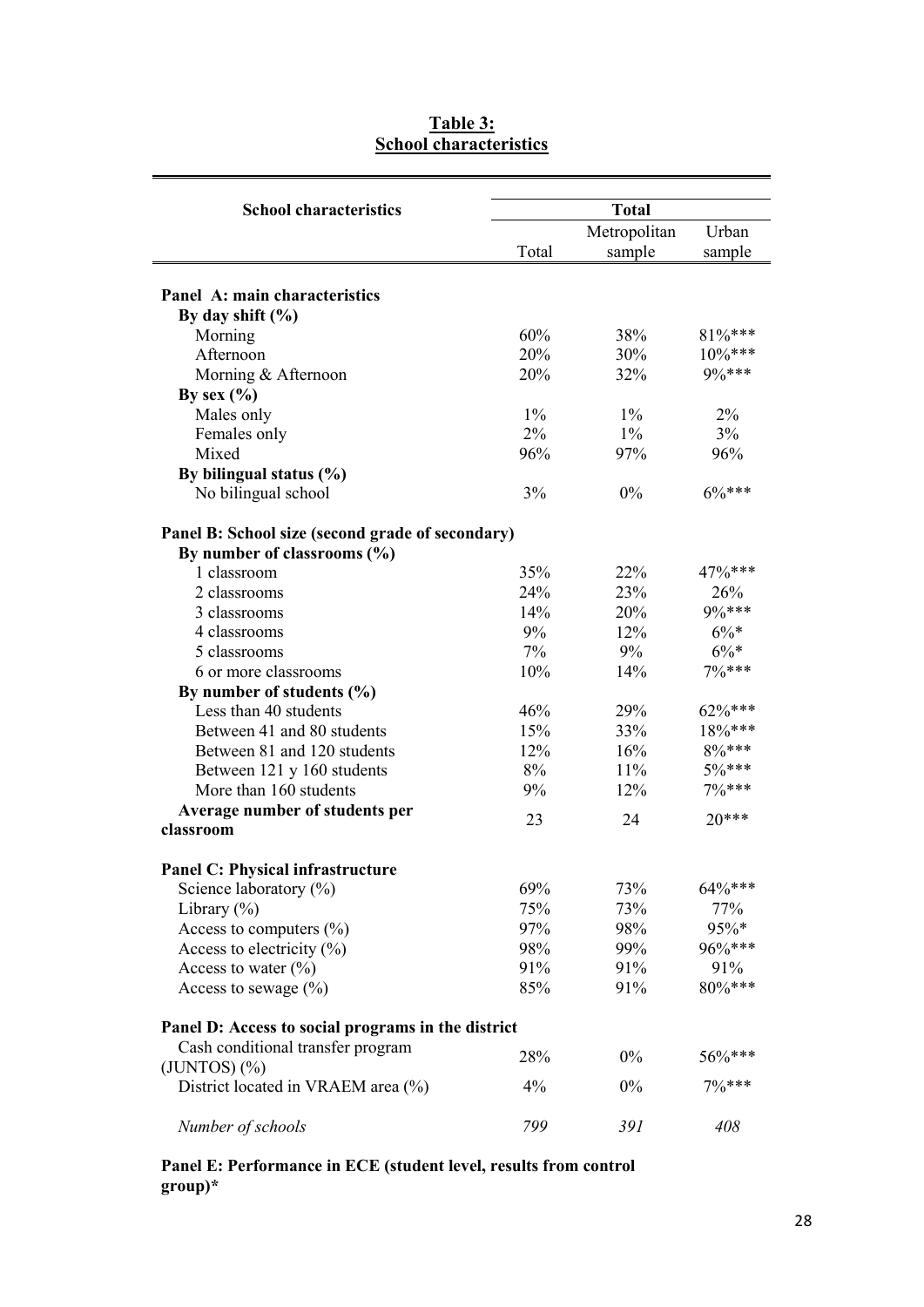| <b>School characteristics</b>                      |       | <b>Total</b> |           |  |
|----------------------------------------------------|-------|--------------|-----------|--|
|                                                    |       | Metropolitan | Urban     |  |
|                                                    | Total | sample       | sample    |  |
| Panel A: main characteristics                      |       |              |           |  |
|                                                    |       |              |           |  |
| By day shift $(\% )$                               | 60%   | 38%          | $81\%***$ |  |
| Morning                                            | 20%   | 30%          | $10\%***$ |  |
| Afternoon                                          |       |              | 9%***     |  |
| Morning & Afternoon                                | 20%   | 32%          |           |  |
| By sex $(\% )$                                     |       |              |           |  |
| Males only                                         | $1\%$ | $1\%$        | 2%        |  |
| Females only                                       | $2\%$ | $1\%$        | 3%        |  |
| Mixed                                              | 96%   | 97%          | 96%       |  |
| By bilingual status (%)                            |       |              |           |  |
| No bilingual school                                | 3%    | 0%           | $6\%***$  |  |
| Panel B: School size (second grade of secondary)   |       |              |           |  |
| By number of classrooms (%)                        |       |              |           |  |
| 1 classroom                                        | 35%   | 22%          | 47%***    |  |
| 2 classrooms                                       | 24%   | 23%          | 26%       |  |
| 3 classrooms                                       | 14%   | <b>20%</b>   | 9%***     |  |
| 4 classrooms                                       | 9%    | 12%          | $6\%*$    |  |
| 5 classrooms                                       | $7\%$ | 9%           | $6\%*$    |  |
| 6 or more classrooms                               | 10%   | 14%          | $7%***$   |  |
| By number of students (%)                          |       |              |           |  |
| Less than 40 students                              | 46%   | 29%          | $62\%***$ |  |
| Between 41 and 80 students                         | 15%   | 33%          | $18\%***$ |  |
| Between 81 and 120 students                        | 12%   | 16%          | 8%***     |  |
| Between 121 y 160 students                         | 8%    | 11%          | $5\%***$  |  |
| More than 160 students                             | 9%    | 12%          | $7%***$   |  |
| Average number of students per                     |       |              |           |  |
| classroom                                          | 23    | 24           | $20***$   |  |
| <b>Panel C: Physical infrastructure</b>            |       |              |           |  |
| Science laboratory $(\%)$                          | 69%   | 73%          | 64%***    |  |
| Library $(\% )$                                    | 75%   | 73%          | 77%       |  |
| Access to computers $(\%)$                         | 97%   | 98%          | 95%*      |  |
| Access to electricity $(\% )$                      | 98%   | 99%          | 96%***    |  |
| Access to water $(\%)$                             | 91%   | 91%          | 91%       |  |
| Access to sewage $(\%)$                            | 85%   | 91%          | 80%***    |  |
| Panel D: Access to social programs in the district |       |              |           |  |
| Cash conditional transfer program                  |       |              |           |  |
| $(JUNTOS)$ $(\% )$                                 | 28%   | $0\%$        | 56%***    |  |
| District located in VRAEM area (%)                 | 4%    | 0%           | 7% ***    |  |
| Number of schools                                  | 799   | 391          | 408       |  |

# **Table 3: School characteristics**

#### **Panel E: Performance in ECE (student level, results from control group)\***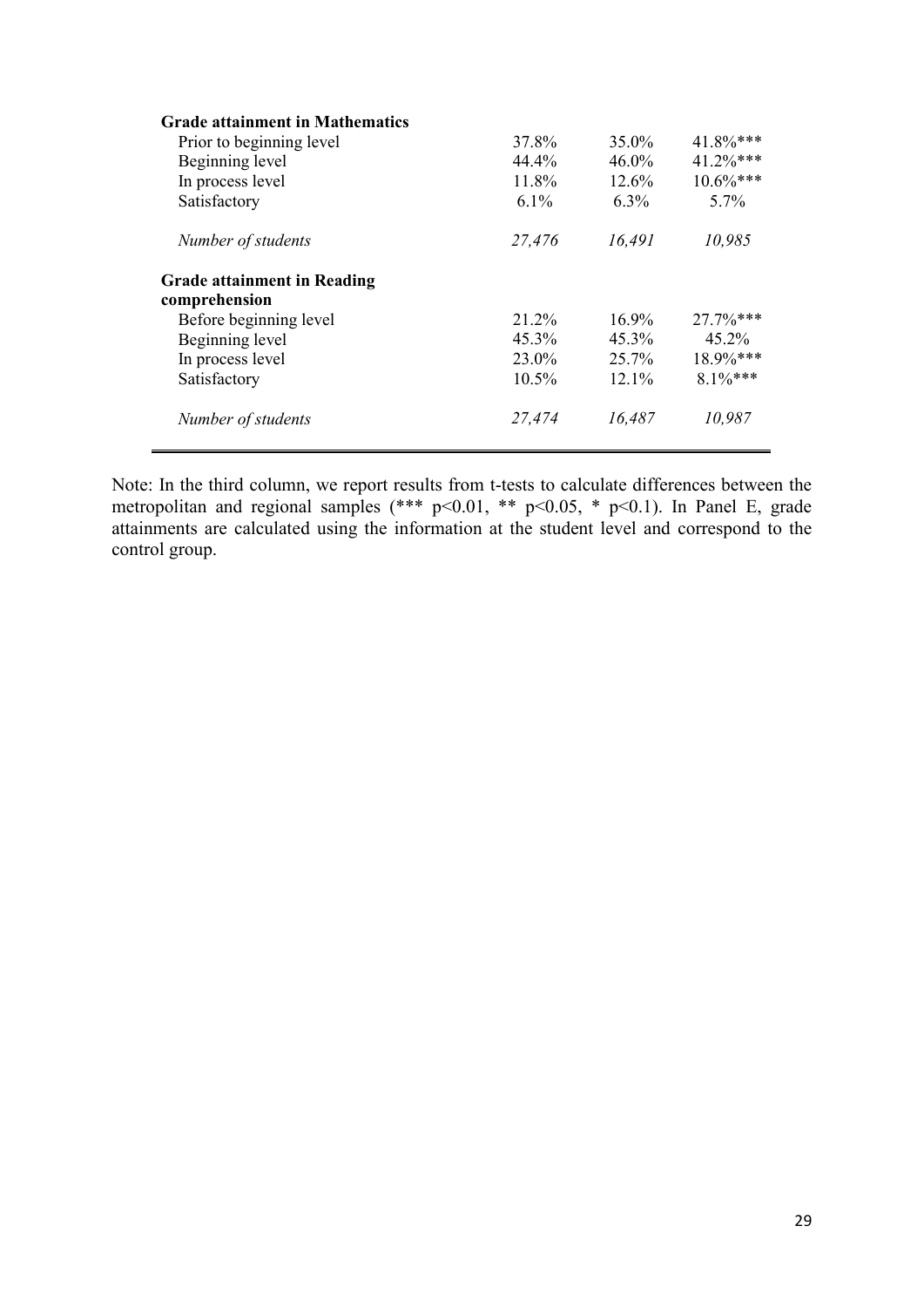| <b>Grade attainment in Mathematics</b> |          |          |              |
|----------------------------------------|----------|----------|--------------|
| Prior to beginning level               | 37.8%    | 35.0%    | 41.8%***     |
| Beginning level                        | 44.4%    | $46.0\%$ | 41.2%***     |
| In process level                       | 11.8%    | 12.6%    | $10.6\%***$  |
| Satisfactory                           | $6.1\%$  | $6.3\%$  | $5.7\%$      |
| Number of students                     | 27,476   | 16,491   | 10,985       |
| <b>Grade attainment in Reading</b>     |          |          |              |
| comprehension                          |          |          |              |
| Before beginning level                 | 21.2%    | $16.9\%$ | $27.7\%$ *** |
| Beginning level                        | 45.3%    | 45.3%    | $45.2\%$     |
| In process level                       | 23.0%    | 25.7%    | $18.9\%***$  |
| Satisfactory                           | $10.5\%$ | $12.1\%$ | $8.1\%***$   |
| Number of students                     | 27,474   | 16,487   | 10.987       |

Note: In the third column, we report results from t-tests to calculate differences between the metropolitan and regional samples  $(*** p<0.01, ** p<0.05, * p<0.1)$ . In Panel E, grade attainments are calculated using the information at the student level and correspond to the control group.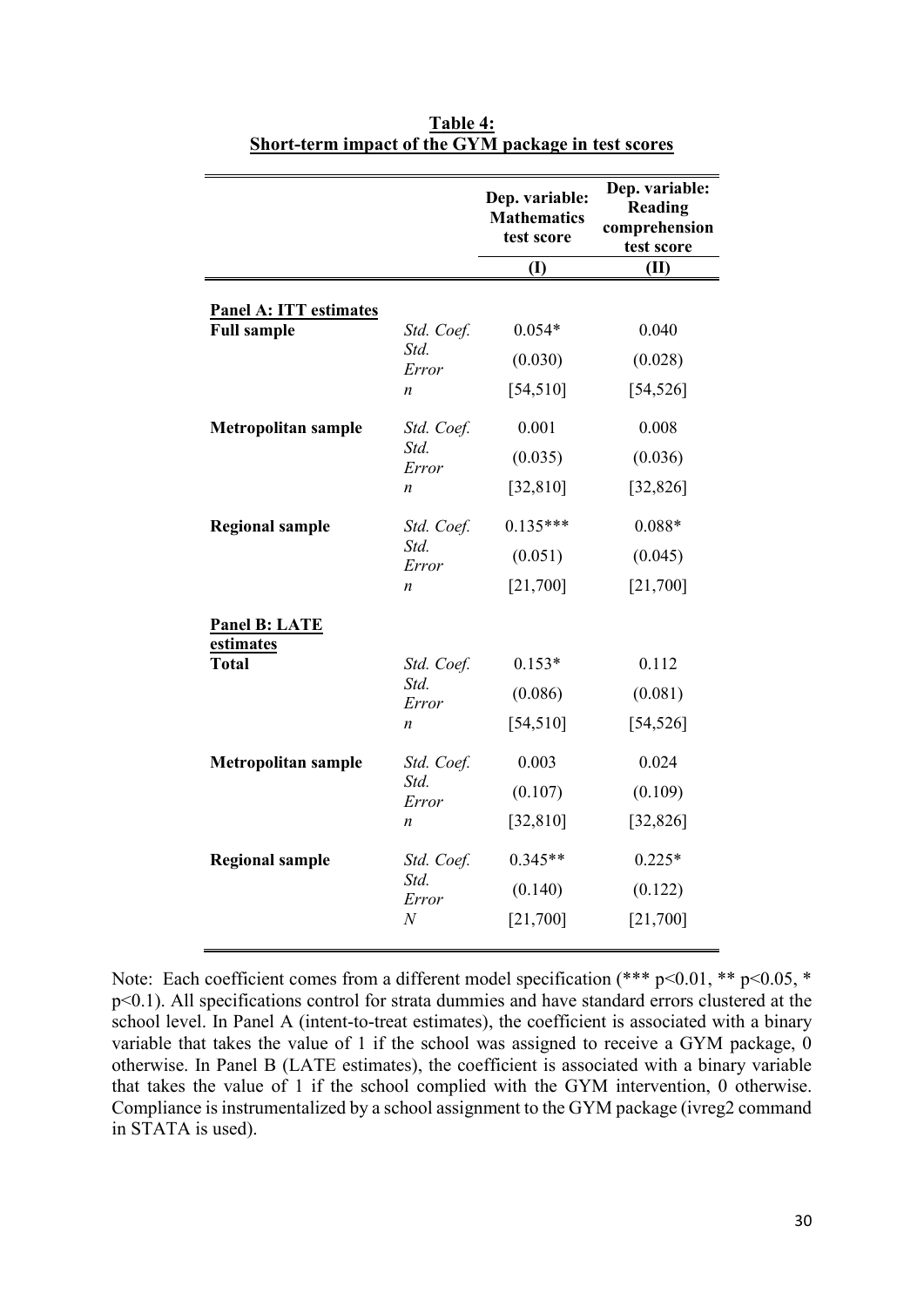|                  | Dep. variable:<br><b>Mathematics</b><br>test score                                | Dep. variable:<br>Reading<br>comprehension<br>test score |  |
|------------------|-----------------------------------------------------------------------------------|----------------------------------------------------------|--|
|                  |                                                                                   | (II)                                                     |  |
|                  |                                                                                   |                                                          |  |
| Std. Coef.       | $0.054*$                                                                          | 0.040                                                    |  |
| Std.<br>Error    | (0.030)                                                                           | (0.028)                                                  |  |
| n                | [54, 510]                                                                         | [54, 526]                                                |  |
| Std. Coef.       | 0.001                                                                             | 0.008                                                    |  |
|                  | (0.035)                                                                           | (0.036)                                                  |  |
| $\boldsymbol{n}$ | [32, 810]                                                                         | [32, 826]                                                |  |
| Std. Coef.       | $0.135***$                                                                        | $0.088*$                                                 |  |
|                  | (0.051)                                                                           | (0.045)                                                  |  |
| $\boldsymbol{n}$ | [21,700]                                                                          | [21,700]                                                 |  |
|                  |                                                                                   |                                                          |  |
| Std. Coef.       | $0.153*$                                                                          | 0.112                                                    |  |
|                  | (0.086)                                                                           | (0.081)                                                  |  |
| $\boldsymbol{n}$ | [54, 510]                                                                         | [54, 526]                                                |  |
| Std. Coef.       | 0.003                                                                             | 0.024                                                    |  |
|                  | (0.107)                                                                           | (0.109)                                                  |  |
| n                | [32, 810]                                                                         | [32, 826]                                                |  |
| Std. Coef.       | $0.345**$                                                                         | $0.225*$                                                 |  |
|                  | (0.140)                                                                           | (0.122)                                                  |  |
| $\boldsymbol{N}$ | [21,700]                                                                          | [21,700]                                                 |  |
|                  | Std.<br>Error<br>Std.<br>Error<br>Std.<br>Error<br>Std.<br>Error<br>Std.<br>Error | $\mathbf{I}$                                             |  |

| Table 4:                                            |  |
|-----------------------------------------------------|--|
| Short-term impact of the GYM package in test scores |  |

Note: Each coefficient comes from a different model specification (\*\*\* p<0.01, \*\* p<0.05, \* p<0.1). All specifications control for strata dummies and have standard errors clustered at the school level. In Panel A (intent-to-treat estimates), the coefficient is associated with a binary variable that takes the value of 1 if the school was assigned to receive a GYM package, 0 otherwise. In Panel B (LATE estimates), the coefficient is associated with a binary variable that takes the value of 1 if the school complied with the GYM intervention, 0 otherwise. Compliance is instrumentalized by a school assignment to the GYM package (ivreg2 command in STATA is used).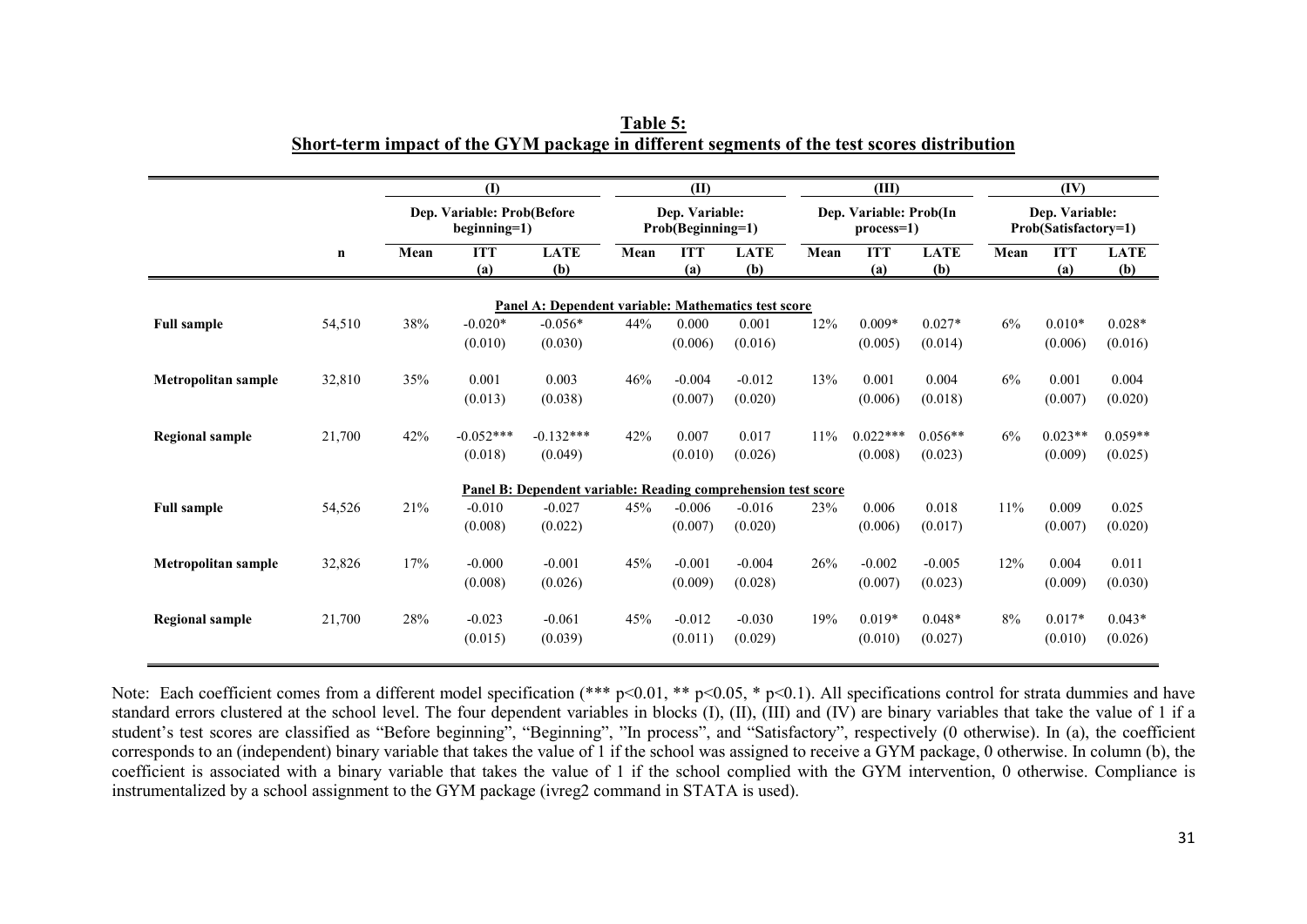|                        |             |      | $\mathbf{I}$                                                                    |                                                               |      | (II)                                |                    |      | (III)                                   |                    |      | (IV)                                   |                    |
|------------------------|-------------|------|---------------------------------------------------------------------------------|---------------------------------------------------------------|------|-------------------------------------|--------------------|------|-----------------------------------------|--------------------|------|----------------------------------------|--------------------|
|                        |             |      | Dep. Variable: Prob(Before<br>$begin{bmatrix} \text{beginning=1} \end{bmatrix}$ |                                                               |      | Dep. Variable:<br>Prob(Beginning=1) |                    |      | Dep. Variable: Prob(In<br>$process=1$ ) |                    |      | Dep. Variable:<br>Prob(Satisfactory=1) |                    |
|                        | $\mathbf n$ | Mean | <b>ITT</b><br>(a)                                                               | <b>LATE</b><br>(b)                                            | Mean | <b>ITT</b><br>(a)                   | <b>LATE</b><br>(b) | Mean | <b>ITT</b><br>(a)                       | <b>LATE</b><br>(b) | Mean | <b>ITT</b><br>(a)                      | <b>LATE</b><br>(b) |
|                        |             |      |                                                                                 | Panel A: Dependent variable: Mathematics test score           |      |                                     |                    |      |                                         |                    |      |                                        |                    |
| <b>Full sample</b>     | 54,510      | 38%  | $-0.020*$                                                                       | $-0.056*$                                                     | 44%  | 0.000                               | 0.001              | 12%  | $0.009*$                                | $0.027*$           | 6%   | $0.010*$                               | $0.028*$           |
|                        |             |      | (0.010)                                                                         | (0.030)                                                       |      | (0.006)                             | (0.016)            |      | (0.005)                                 | (0.014)            |      | (0.006)                                | (0.016)            |
| Metropolitan sample    | 32,810      | 35%  | 0.001                                                                           | 0.003                                                         | 46%  | $-0.004$                            | $-0.012$           | 13%  | 0.001                                   | 0.004              | 6%   | 0.001                                  | 0.004              |
|                        |             |      | (0.013)                                                                         | (0.038)                                                       |      | (0.007)                             | (0.020)            |      | (0.006)                                 | (0.018)            |      | (0.007)                                | (0.020)            |
| <b>Regional sample</b> | 21,700      | 42%  | $-0.052***$                                                                     | $-0.132***$                                                   | 42%  | 0.007                               | 0.017              | 11%  | $0.022***$                              | $0.056**$          | 6%   | $0.023**$                              | $0.059**$          |
|                        |             |      | (0.018)                                                                         | (0.049)                                                       |      | (0.010)                             | (0.026)            |      | (0.008)                                 | (0.023)            |      | (0.009)                                | (0.025)            |
|                        |             |      |                                                                                 | Panel B: Dependent variable: Reading comprehension test score |      |                                     |                    |      |                                         |                    |      |                                        |                    |
| <b>Full sample</b>     | 54,526      | 21%  | $-0.010$                                                                        | $-0.027$                                                      | 45%  | $-0.006$                            | $-0.016$           | 23%  | 0.006                                   | 0.018              | 11%  | 0.009                                  | 0.025              |
|                        |             |      | (0.008)                                                                         | (0.022)                                                       |      | (0.007)                             | (0.020)            |      | (0.006)                                 | (0.017)            |      | (0.007)                                | (0.020)            |
| Metropolitan sample    | 32,826      | 17%  | $-0.000$                                                                        | $-0.001$                                                      | 45%  | $-0.001$                            | $-0.004$           | 26%  | $-0.002$                                | $-0.005$           | 12%  | 0.004                                  | 0.011              |
|                        |             |      | (0.008)                                                                         | (0.026)                                                       |      | (0.009)                             | (0.028)            |      | (0.007)                                 | (0.023)            |      | (0.009)                                | (0.030)            |
| <b>Regional sample</b> | 21,700      | 28%  | $-0.023$                                                                        | $-0.061$                                                      | 45%  | $-0.012$                            | $-0.030$           | 19%  | $0.019*$                                | $0.048*$           | 8%   | $0.017*$                               | $0.043*$           |
|                        |             |      | (0.015)                                                                         | (0.039)                                                       |      | (0.011)                             | (0.029)            |      | (0.010)                                 | (0.027)            |      | (0.010)                                | (0.026)            |

**Table 5: Short-term impact of the GYM package in different segments of the test scores distribution**

Note: Each coefficient comes from a different model specification (\*\*\*  $p<0.01$ , \*\*  $p<0.05$ , \*  $p<0.1$ ). All specifications control for strata dummies and have standard errors clustered at the school level. The four dependent variables in blocks (I), (II), (III) and (IV) are binary variables that take the value of 1 if a student's test scores are classified as "Before beginning", "Beginning", "In process", and "Satisfactory", respectively (0 otherwise). In (a), the coefficient corresponds to an (independent) binary variable that takes the value of 1 if the school was assigned to receive a GYM package, 0 otherwise. In column (b), the coefficient is associated with a binary variable that takes the value of 1 if the school complied with the GYM intervention, 0 otherwise. Compliance is instrumentalized by a school assignment to the GYM package (ivreg2 command in STATA is used).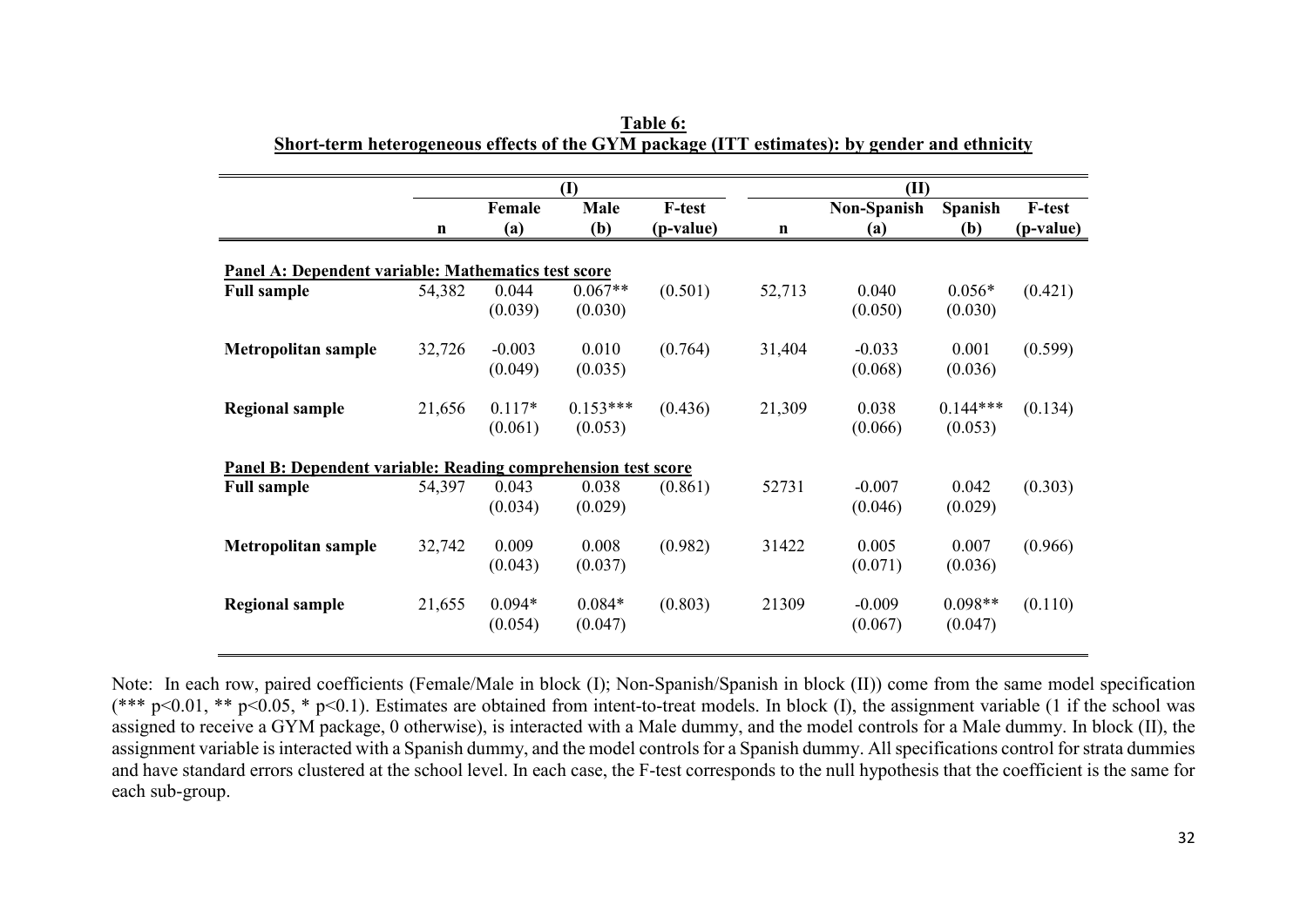|                                                               |        |          | (I)        |           | (II)        |             |                |               |  |
|---------------------------------------------------------------|--------|----------|------------|-----------|-------------|-------------|----------------|---------------|--|
|                                                               |        | Female   | Male       | F-test    |             | Non-Spanish | <b>Spanish</b> | <b>F-test</b> |  |
|                                                               | n      | (a)      | (b)        | (p-value) | $\mathbf n$ | (a)         | (b)            | (p-value)     |  |
| Panel A: Dependent variable: Mathematics test score           |        |          |            |           |             |             |                |               |  |
| <b>Full sample</b>                                            | 54,382 | 0.044    | $0.067**$  | (0.501)   | 52,713      | 0.040       | $0.056*$       | (0.421)       |  |
|                                                               |        | (0.039)  | (0.030)    |           |             | (0.050)     | (0.030)        |               |  |
| <b>Metropolitan sample</b>                                    | 32,726 | $-0.003$ | 0.010      | (0.764)   | 31,404      | $-0.033$    | 0.001          | (0.599)       |  |
|                                                               |        | (0.049)  | (0.035)    |           |             | (0.068)     | (0.036)        |               |  |
| <b>Regional sample</b>                                        | 21,656 | $0.117*$ | $0.153***$ | (0.436)   | 21,309      | 0.038       | $0.144***$     | (0.134)       |  |
|                                                               |        | (0.061)  | (0.053)    |           |             | (0.066)     | (0.053)        |               |  |
| Panel B: Dependent variable: Reading comprehension test score |        |          |            |           |             |             |                |               |  |
| <b>Full sample</b>                                            | 54,397 | 0.043    | 0.038      | (0.861)   | 52731       | $-0.007$    | 0.042          | (0.303)       |  |
|                                                               |        | (0.034)  | (0.029)    |           |             | (0.046)     | (0.029)        |               |  |
| <b>Metropolitan sample</b>                                    | 32,742 | 0.009    | 0.008      | (0.982)   | 31422       | 0.005       | 0.007          | (0.966)       |  |
|                                                               |        | (0.043)  | (0.037)    |           |             | (0.071)     | (0.036)        |               |  |
| <b>Regional sample</b>                                        | 21,655 | $0.094*$ | $0.084*$   | (0.803)   | 21309       | $-0.009$    | $0.098**$      | (0.110)       |  |
|                                                               |        | (0.054)  | (0.047)    |           |             | (0.067)     | (0.047)        |               |  |

**Table 6: Short-term heterogeneous effects of the GYM package (ITT estimates): by gender and ethnicity**

Note: In each row, paired coefficients (Female/Male in block (I); Non-Spanish/Spanish in block (II)) come from the same model specification (\*\*\*  $p<0.01$ , \*\*  $p<0.05$ , \*  $p<0.1$ ). Estimates are obtained from intent-to-treat models. In block (I), the assignment variable (1 if the school was assigned to receive a GYM package, 0 otherwise), is interacted with a Male dummy, and the model controls for a Male dummy. In block (II), the assignment variable is interacted with a Spanish dummy, and the model controls for a Spanish dummy. All specifications control for strata dummies and have standard errors clustered at the school level. In each case, the F-test corresponds to the null hypothesis that the coefficient is the same for each sub-group.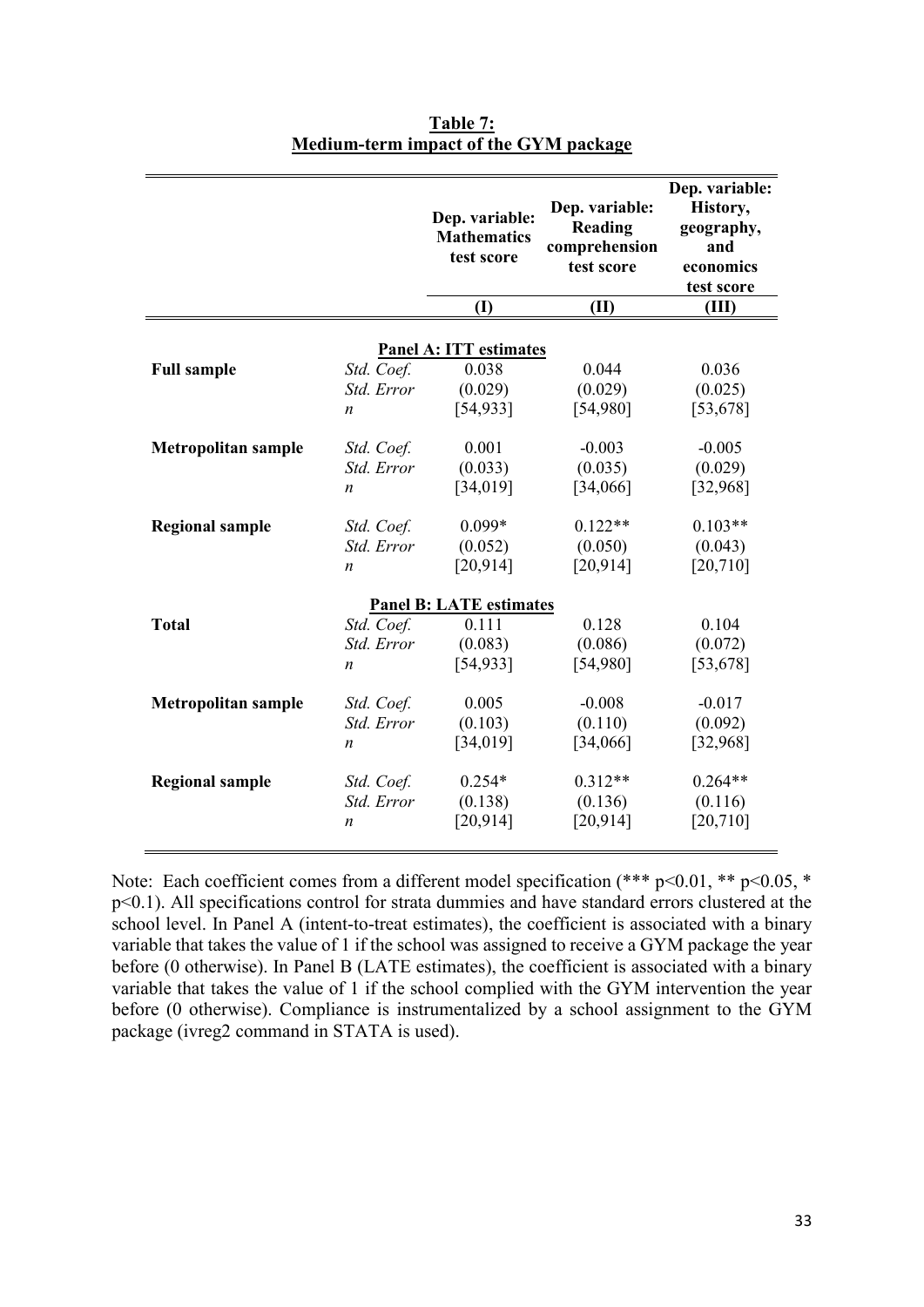|                            |                          | Dep. variable:<br><b>Mathematics</b><br>test score | Dep. variable:<br>Reading<br>comprehension<br>test score | Dep. variable:<br>History,<br>geography,<br>and<br>economics<br>test score |
|----------------------------|--------------------------|----------------------------------------------------|----------------------------------------------------------|----------------------------------------------------------------------------|
|                            |                          | (I)                                                | (II)                                                     | (III)                                                                      |
|                            |                          |                                                    |                                                          |                                                                            |
|                            |                          | <b>Panel A: ITT estimates</b>                      |                                                          |                                                                            |
| <b>Full sample</b>         | Std. Coef.               | 0.038                                              | 0.044                                                    | 0.036                                                                      |
|                            | Std. Error               | (0.029)                                            | (0.029)                                                  | (0.025)                                                                    |
|                            | $\boldsymbol{n}$         | [54, 933]                                          | [54,980]                                                 | [53, 678]                                                                  |
| <b>Metropolitan sample</b> | Std. Coef.               | 0.001                                              | $-0.003$                                                 | $-0.005$                                                                   |
|                            | Std. Error               | (0.033)                                            | (0.035)                                                  | (0.029)                                                                    |
|                            | $\boldsymbol{n}$         | [34, 019]                                          | [34,066]                                                 | [32,968]                                                                   |
|                            |                          | $0.099*$                                           | $0.122**$                                                | $0.103**$                                                                  |
| <b>Regional sample</b>     | Std. Coef.<br>Std. Error | (0.052)                                            | (0.050)                                                  | (0.043)                                                                    |
|                            |                          | [20, 914]                                          | [20, 914]                                                | [20, 710]                                                                  |
|                            | n                        |                                                    |                                                          |                                                                            |
|                            |                          | <b>Panel B: LATE estimates</b>                     |                                                          |                                                                            |
| <b>Total</b>               | Std. Coef.               | 0.111                                              | 0.128                                                    | 0.104                                                                      |
|                            | Std. Error               | (0.083)                                            | (0.086)                                                  | (0.072)                                                                    |
|                            | $\boldsymbol{n}$         | [54, 933]                                          | [54,980]                                                 | [53, 678]                                                                  |
| <b>Metropolitan sample</b> | Std. Coef.               | 0.005                                              | $-0.008$                                                 | $-0.017$                                                                   |
|                            | Std. Error               | (0.103)                                            | (0.110)                                                  | (0.092)                                                                    |
|                            | $\boldsymbol{n}$         | [34, 019]                                          | [34,066]                                                 | [32,968]                                                                   |
|                            |                          |                                                    |                                                          |                                                                            |
| <b>Regional sample</b>     | Std. Coef.               | $0.254*$                                           | $0.312**$                                                | $0.264**$                                                                  |
|                            | Std. Error               | (0.138)                                            | (0.136)                                                  | (0.116)                                                                    |
|                            | $\boldsymbol{n}$         | [20, 914]                                          | [20, 914]                                                | [20, 710]                                                                  |
|                            |                          |                                                    |                                                          |                                                                            |

**Table 7: Medium-term impact of the GYM package**

Note: Each coefficient comes from a different model specification (\*\*\* p<0.01, \*\* p<0.05, \* p<0.1). All specifications control for strata dummies and have standard errors clustered at the school level. In Panel A (intent-to-treat estimates), the coefficient is associated with a binary variable that takes the value of 1 if the school was assigned to receive a GYM package the year before (0 otherwise). In Panel B (LATE estimates), the coefficient is associated with a binary variable that takes the value of 1 if the school complied with the GYM intervention the year before (0 otherwise). Compliance is instrumentalized by a school assignment to the GYM package (ivreg2 command in STATA is used).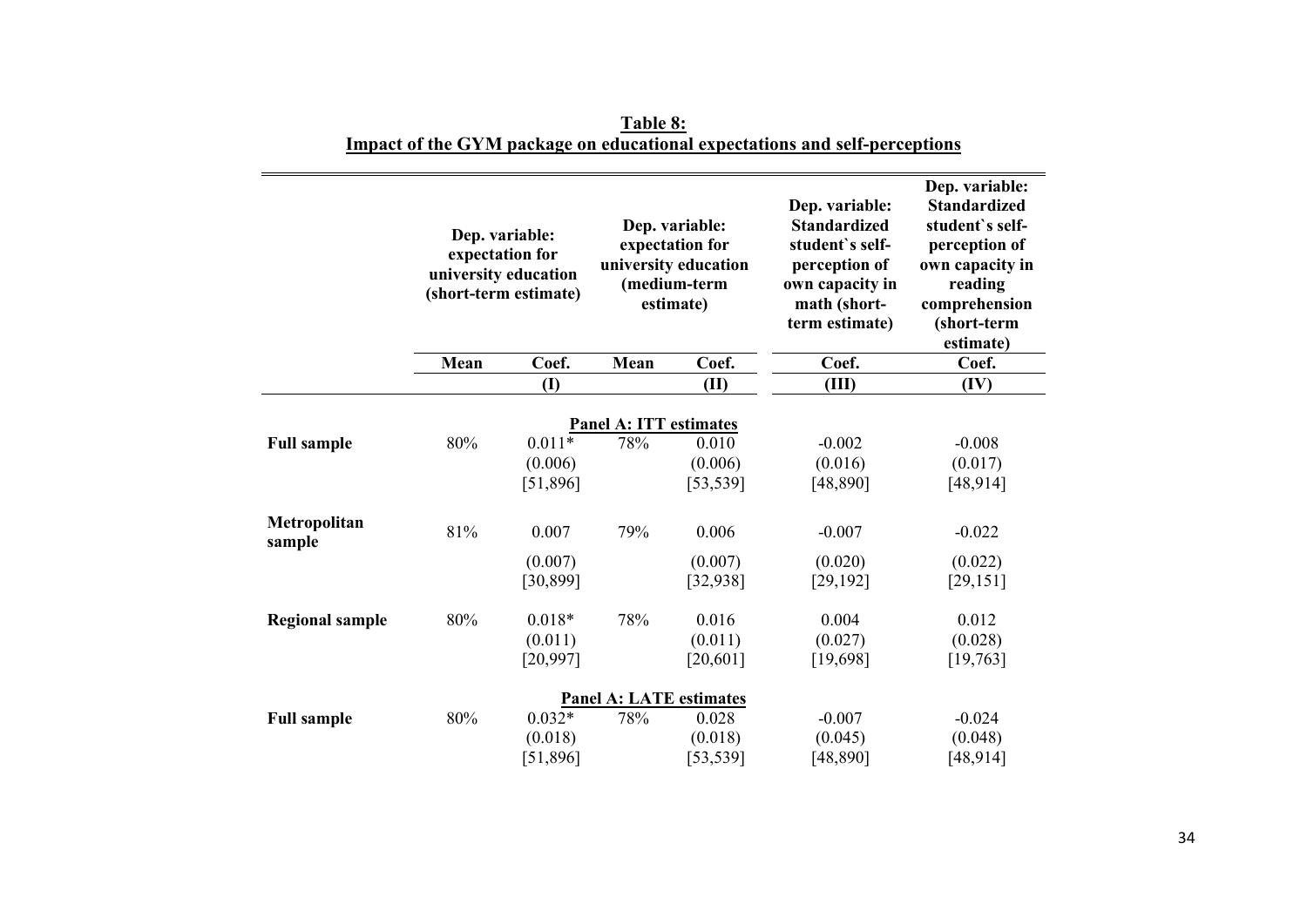|                        |      | Dep. variable:<br>Dep. variable:<br>expectation for<br>expectation for<br>university education<br>university education<br>(medium-term<br>(short-term estimate)<br>estimate) |                                | Dep. variable:<br><b>Standardized</b><br>student's self-<br>perception of<br>own capacity in<br>math (short-<br>term estimate) | Dep. variable:<br><b>Standardized</b><br>student's self-<br>perception of<br>own capacity in<br>reading<br>comprehension<br>(short-term<br>estimate) |           |
|------------------------|------|------------------------------------------------------------------------------------------------------------------------------------------------------------------------------|--------------------------------|--------------------------------------------------------------------------------------------------------------------------------|------------------------------------------------------------------------------------------------------------------------------------------------------|-----------|
|                        | Mean | Coef.                                                                                                                                                                        | Mean                           | Coef.                                                                                                                          | Coef.                                                                                                                                                | Coef.     |
|                        |      | (I)                                                                                                                                                                          |                                | (II)                                                                                                                           | (III)                                                                                                                                                | (IV)      |
|                        |      |                                                                                                                                                                              | <b>Panel A: ITT estimates</b>  |                                                                                                                                |                                                                                                                                                      |           |
| <b>Full sample</b>     | 80%  | $0.011*$                                                                                                                                                                     | 78%                            | 0.010                                                                                                                          | $-0.002$                                                                                                                                             | $-0.008$  |
|                        |      | (0.006)                                                                                                                                                                      |                                | (0.006)                                                                                                                        | (0.016)                                                                                                                                              | (0.017)   |
|                        |      | [51,896]                                                                                                                                                                     |                                | [53, 539]                                                                                                                      | [48, 890]                                                                                                                                            | [48, 914] |
| Metropolitan<br>sample | 81%  | 0.007                                                                                                                                                                        | 79%                            | 0.006                                                                                                                          | $-0.007$                                                                                                                                             | $-0.022$  |
|                        |      | (0.007)                                                                                                                                                                      |                                | (0.007)                                                                                                                        | (0.020)                                                                                                                                              | (0.022)   |
|                        |      | [30, 899]                                                                                                                                                                    |                                | [32, 938]                                                                                                                      | [29, 192]                                                                                                                                            | [29, 151] |
| <b>Regional sample</b> | 80%  | $0.018*$                                                                                                                                                                     | 78%                            | 0.016                                                                                                                          | 0.004                                                                                                                                                | 0.012     |
|                        |      | (0.011)                                                                                                                                                                      |                                | (0.011)                                                                                                                        | (0.027)                                                                                                                                              | (0.028)   |
|                        |      | [20, 997]                                                                                                                                                                    |                                | [20, 601]                                                                                                                      | [19,698]                                                                                                                                             | [19, 763] |
|                        |      |                                                                                                                                                                              | <b>Panel A: LATE estimates</b> |                                                                                                                                |                                                                                                                                                      |           |
| <b>Full sample</b>     | 80%  | $0.032*$                                                                                                                                                                     | 78%                            | 0.028                                                                                                                          | $-0.007$                                                                                                                                             | $-0.024$  |
|                        |      | (0.018)                                                                                                                                                                      |                                | (0.018)                                                                                                                        | (0.045)                                                                                                                                              | (0.048)   |
|                        |      | [51,896]                                                                                                                                                                     |                                | [53, 539]                                                                                                                      | [48,890]                                                                                                                                             | [48, 914] |

**Table 8: Impact of the GYM package on educational expectations and self-perceptions**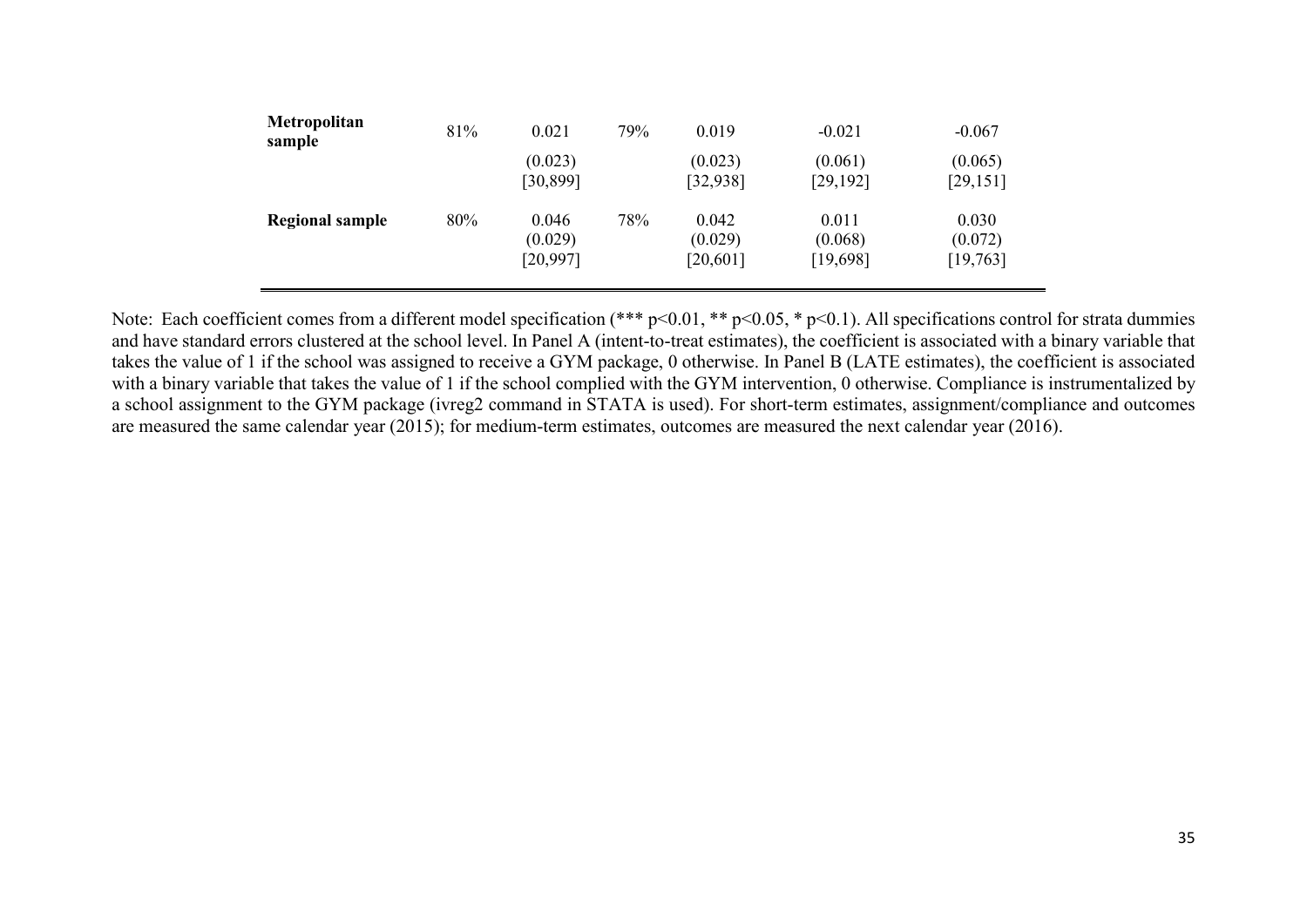| Metropolitan<br>sample | 81% | 0.021                         | 79% | 0.019                        | $-0.021$                     | $-0.067$                      |
|------------------------|-----|-------------------------------|-----|------------------------------|------------------------------|-------------------------------|
|                        |     | (0.023)<br>[30, 899]          |     | (0.023)<br>[32, 938]         | (0.061)<br>[29, 192]         | (0.065)<br>[29, 151]          |
| <b>Regional sample</b> | 80% | 0.046<br>(0.029)<br>[20, 997] | 78% | 0.042<br>(0.029)<br>[20,601] | 0.011<br>(0.068)<br>[19,698] | 0.030<br>(0.072)<br>[19, 763] |

Note: Each coefficient comes from a different model specification (\*\*\* p<0.01, \*\* p<0.05, \* p<0.1). All specifications control for strata dummies and have standard errors clustered at the school level. In Panel A (intent-to-treat estimates), the coefficient is associated with a binary variable that takes the value of 1 if the school was assigned to receive a GYM package, 0 otherwise. In Panel B (LATE estimates), the coefficient is associated with a binary variable that takes the value of 1 if the school complied with the GYM intervention, 0 otherwise. Compliance is instrumentalized by a school assignment to the GYM package (ivreg2 command in STATA is used). For short-term estimates, assignment/compliance and outcomes are measured the same calendar year (2015); for medium-term estimates, outcomes are measured the next calendar year (2016).